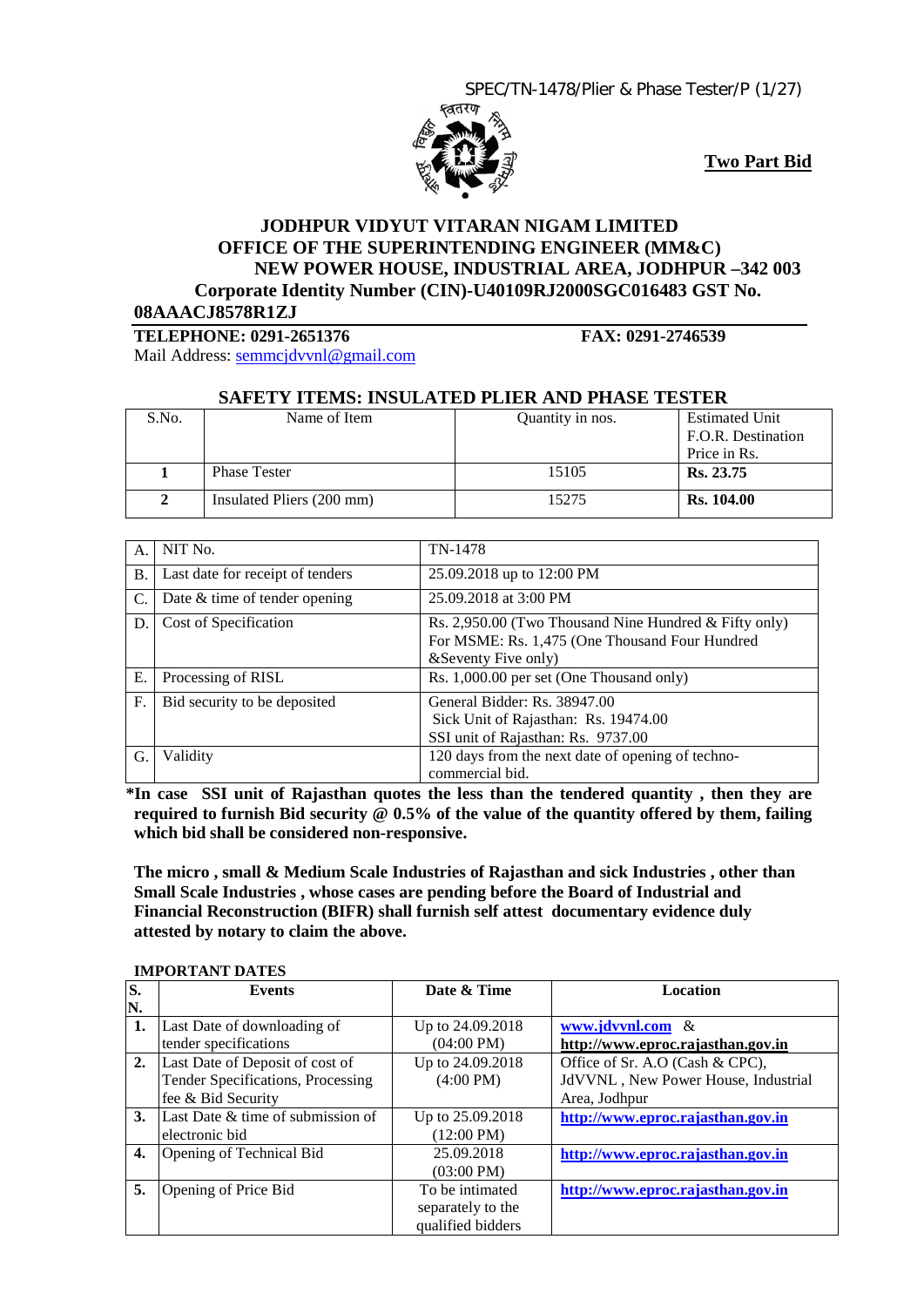

**Two Part Bid**

# **JODHPUR VIDYUT VITARAN NIGAM LIMITED OFFICE OF THE SUPERINTENDING ENGINEER (MM&C) NEW POWER HOUSE, INDUSTRIAL AREA, JODHPUR –342 003 Corporate Identity Number (CIN)-U40109RJ2000SGC016483 GST No.**

**08AAACJ8578R1ZJ**

**TELEPHONE: 0291-2651376 FAX: 0291-2746539**

Mail Address: [semmcjdvvnl@gmail.com](mailto:semmcjdvvnl@gmail.com)

#### **SAFETY ITEMS: INSULATED PLIER AND PHASE TESTER**

| S.No. | Name of Item              | Quantity in nos. | <b>Estimated Unit</b> |
|-------|---------------------------|------------------|-----------------------|
|       |                           |                  | F.O.R. Destination    |
|       |                           |                  | Price in Rs.          |
|       | <b>Phase Tester</b>       | 15105            | Rs. 23.75             |
|       | Insulated Pliers (200 mm) | 15275            | <b>Rs.</b> 104.00     |

| А.        | NIT No.                          | TN-1478                                                                                                                           |
|-----------|----------------------------------|-----------------------------------------------------------------------------------------------------------------------------------|
| <b>B.</b> | Last date for receipt of tenders | 25.09.2018 up to 12:00 PM                                                                                                         |
| C.        | Date $&$ time of tender opening  | 25.09.2018 at 3:00 PM                                                                                                             |
| D.        | Cost of Specification            | Rs. 2,950.00 (Two Thousand Nine Hundred $&$ Fifty only)<br>For MSME: Rs. 1,475 (One Thousand Four Hundred<br>& Seventy Five only) |
| Ε.        | Processing of RISL               | Rs. 1,000.00 per set (One Thousand only)                                                                                          |
| F.        | Bid security to be deposited     | General Bidder: Rs. 38947.00<br>Sick Unit of Rajasthan: Rs. 19474.00<br>SSI unit of Rajasthan: Rs. 9737.00                        |
| G.        | Validity                         | 120 days from the next date of opening of techno-<br>commercial bid.                                                              |

 **\*In case SSI unit of Rajasthan quotes the less than the tendered quantity , then they are required to furnish Bid security @ 0.5% of the value of the quantity offered by them, failing which bid shall be considered non-responsive.**

**The micro , small & Medium Scale Industries of Rajasthan and sick Industries , other than Small Scale Industries , whose cases are pending before the Board of Industrial and Financial Reconstruction (BIFR) shall furnish self attest documentary evidence duly attested by notary to claim the above.**

| S. | <b>Events</b>                     | Date & Time          | <b>Location</b>                     |  |  |  |  |  |
|----|-----------------------------------|----------------------|-------------------------------------|--|--|--|--|--|
| N. |                                   |                      |                                     |  |  |  |  |  |
| 1. | Last Date of downloading of       | Up to 24.09.2018     | www.jdvvnl.com &                    |  |  |  |  |  |
|    | tender specifications             | $(04:00 \text{ PM})$ | http://www.eproc.rajasthan.gov.in   |  |  |  |  |  |
| 2. | Last Date of Deposit of cost of   | Up to 24.09.2018     | Office of Sr. A.O (Cash & CPC),     |  |  |  |  |  |
|    | Tender Specifications, Processing | $(4:00 \text{ PM})$  | JdVVNL, New Power House, Industrial |  |  |  |  |  |
|    | fee & Bid Security                |                      | Area, Jodhpur                       |  |  |  |  |  |
| 3. | Last Date & time of submission of | Up to 25.09.2018     | http://www.eproc.rajasthan.gov.in   |  |  |  |  |  |
|    | electronic bid                    | $(12:00 \text{ PM})$ |                                     |  |  |  |  |  |
| 4. | Opening of Technical Bid          | 25.09.2018           | http://www.eproc.rajasthan.gov.in   |  |  |  |  |  |
|    |                                   | $(03:00 \text{ PM})$ |                                     |  |  |  |  |  |
| 5. | Opening of Price Bid              | To be intimated      | http://www.eproc.rajasthan.gov.in   |  |  |  |  |  |
|    |                                   | separately to the    |                                     |  |  |  |  |  |
|    |                                   | qualified bidders    |                                     |  |  |  |  |  |

#### **IMPORTANT DATES**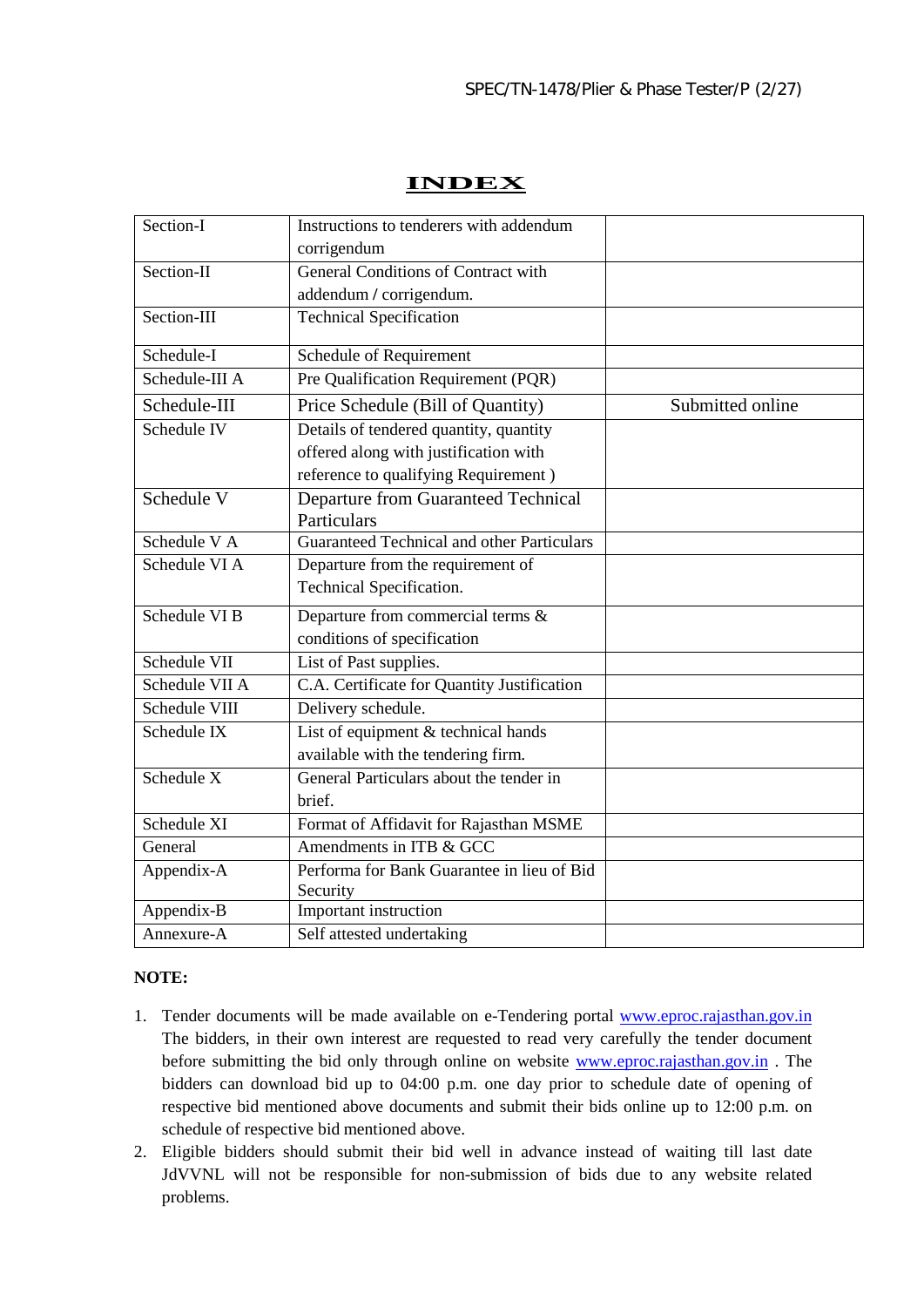# **INDEX**

| Section-I      | Instructions to tenderers with addendum                |                  |
|----------------|--------------------------------------------------------|------------------|
|                | corrigendum                                            |                  |
| Section-II     | General Conditions of Contract with                    |                  |
|                | addendum / corrigendum.                                |                  |
| Section-III    | <b>Technical Specification</b>                         |                  |
| Schedule-I     | Schedule of Requirement                                |                  |
| Schedule-III A | Pre Qualification Requirement (PQR)                    |                  |
| Schedule-III   | Price Schedule (Bill of Quantity)                      | Submitted online |
| Schedule IV    | Details of tendered quantity, quantity                 |                  |
|                | offered along with justification with                  |                  |
|                | reference to qualifying Requirement)                   |                  |
| Schedule V     | <b>Departure from Guaranteed Technical</b>             |                  |
|                | Particulars                                            |                  |
| Schedule V A   | Guaranteed Technical and other Particulars             |                  |
| Schedule VI A  | Departure from the requirement of                      |                  |
|                | Technical Specification.                               |                  |
| Schedule VI B  | Departure from commercial terms &                      |                  |
|                | conditions of specification                            |                  |
| Schedule VII   | List of Past supplies.                                 |                  |
| Schedule VII A | C.A. Certificate for Quantity Justification            |                  |
| Schedule VIII  | Delivery schedule.                                     |                  |
| Schedule IX    | List of equipment & technical hands                    |                  |
|                | available with the tendering firm.                     |                  |
| Schedule X     | General Particulars about the tender in                |                  |
|                | brief.                                                 |                  |
| Schedule XI    | Format of Affidavit for Rajasthan MSME                 |                  |
| General        | Amendments in ITB & GCC                                |                  |
| Appendix-A     | Performa for Bank Guarantee in lieu of Bid<br>Security |                  |
| Appendix-B     | Important instruction                                  |                  |
| Annexure-A     | Self attested undertaking                              |                  |

# **NOTE:**

- 1. Tender documents will be made available on e-Tendering portal www.eproc.rajasthan.gov.in The bidders, in their own interest are requested to read very carefully the tender document before submitting the bid only through online on website [www.eproc.rajasthan.gov.in](http://www.eproc.rajasthan.gov.in/) . The bidders can download bid up to 04:00 p.m. one day prior to schedule date of opening of respective bid mentioned above documents and submit their bids online up to 12:00 p.m. on schedule of respective bid mentioned above.
- 2. Eligible bidders should submit their bid well in advance instead of waiting till last date JdVVNL will not be responsible for non-submission of bids due to any website related problems.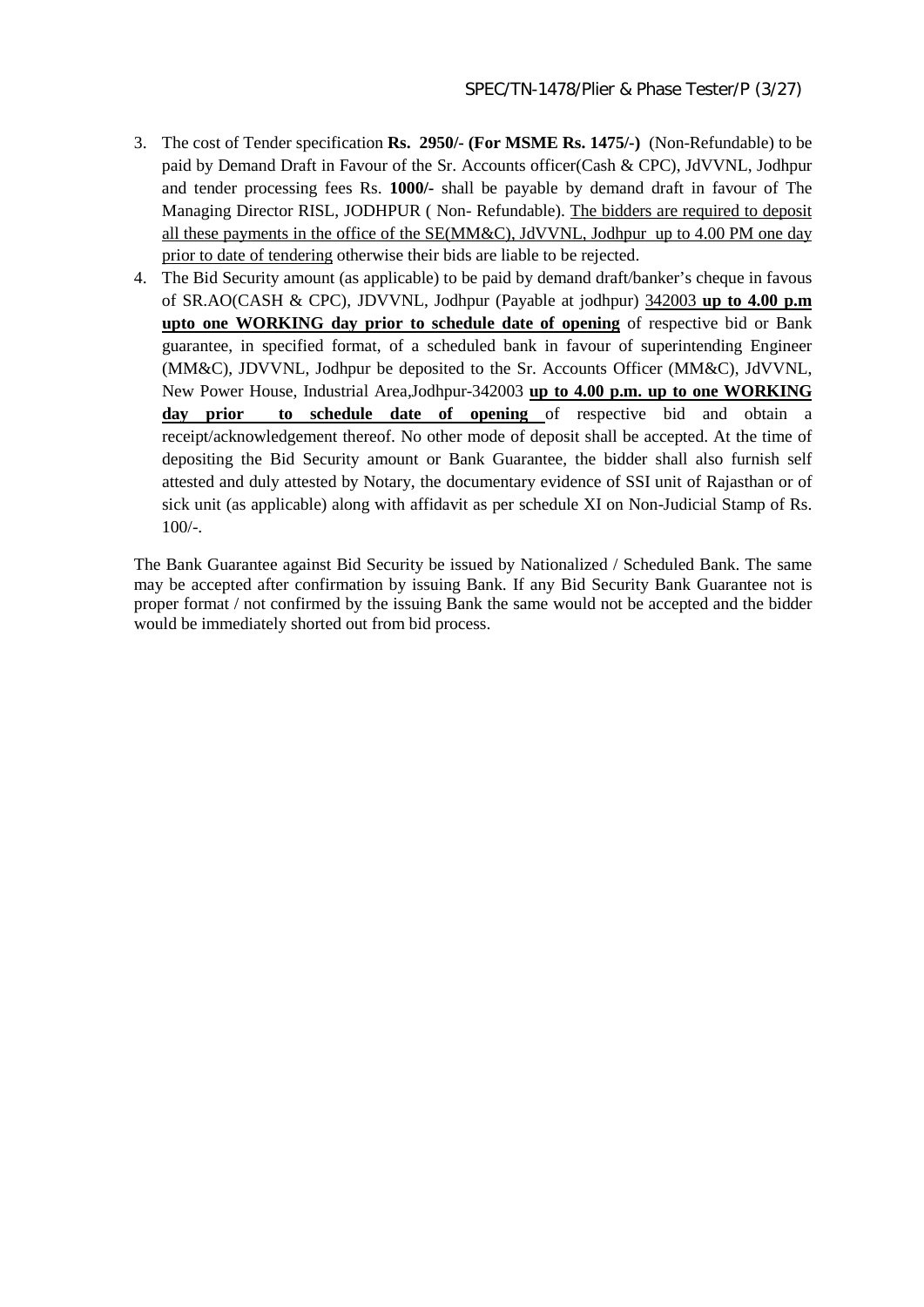- 3. The cost of Tender specification **Rs. 2950/- (For MSME Rs. 1475/-)** (Non-Refundable) to be paid by Demand Draft in Favour of the Sr. Accounts officer(Cash & CPC), JdVVNL, Jodhpur and tender processing fees Rs. **1000/-** shall be payable by demand draft in favour of The Managing Director RISL, JODHPUR ( Non- Refundable). The bidders are required to deposit all these payments in the office of the SE(MM&C), JdVVNL, Jodhpur up to 4.00 PM one day prior to date of tendering otherwise their bids are liable to be rejected.
- 4. The Bid Security amount (as applicable) to be paid by demand draft/banker's cheque in favous of SR.AO(CASH & CPC), JDVVNL, Jodhpur (Payable at jodhpur) 342003 **up to 4.00 p.m upto one WORKING day prior to schedule date of opening** of respective bid or Bank guarantee, in specified format, of a scheduled bank in favour of superintending Engineer (MM&C), JDVVNL, Jodhpur be deposited to the Sr. Accounts Officer (MM&C), JdVVNL, New Power House, Industrial Area,Jodhpur-342003 **up to 4.00 p.m. up to one WORKING day prior to schedule date of opening** of respective bid and obtain a receipt/acknowledgement thereof. No other mode of deposit shall be accepted. At the time of depositing the Bid Security amount or Bank Guarantee, the bidder shall also furnish self attested and duly attested by Notary, the documentary evidence of SSI unit of Rajasthan or of sick unit (as applicable) along with affidavit as per schedule XI on Non-Judicial Stamp of Rs.  $100/-$ .

The Bank Guarantee against Bid Security be issued by Nationalized / Scheduled Bank. The same may be accepted after confirmation by issuing Bank. If any Bid Security Bank Guarantee not is proper format / not confirmed by the issuing Bank the same would not be accepted and the bidder would be immediately shorted out from bid process.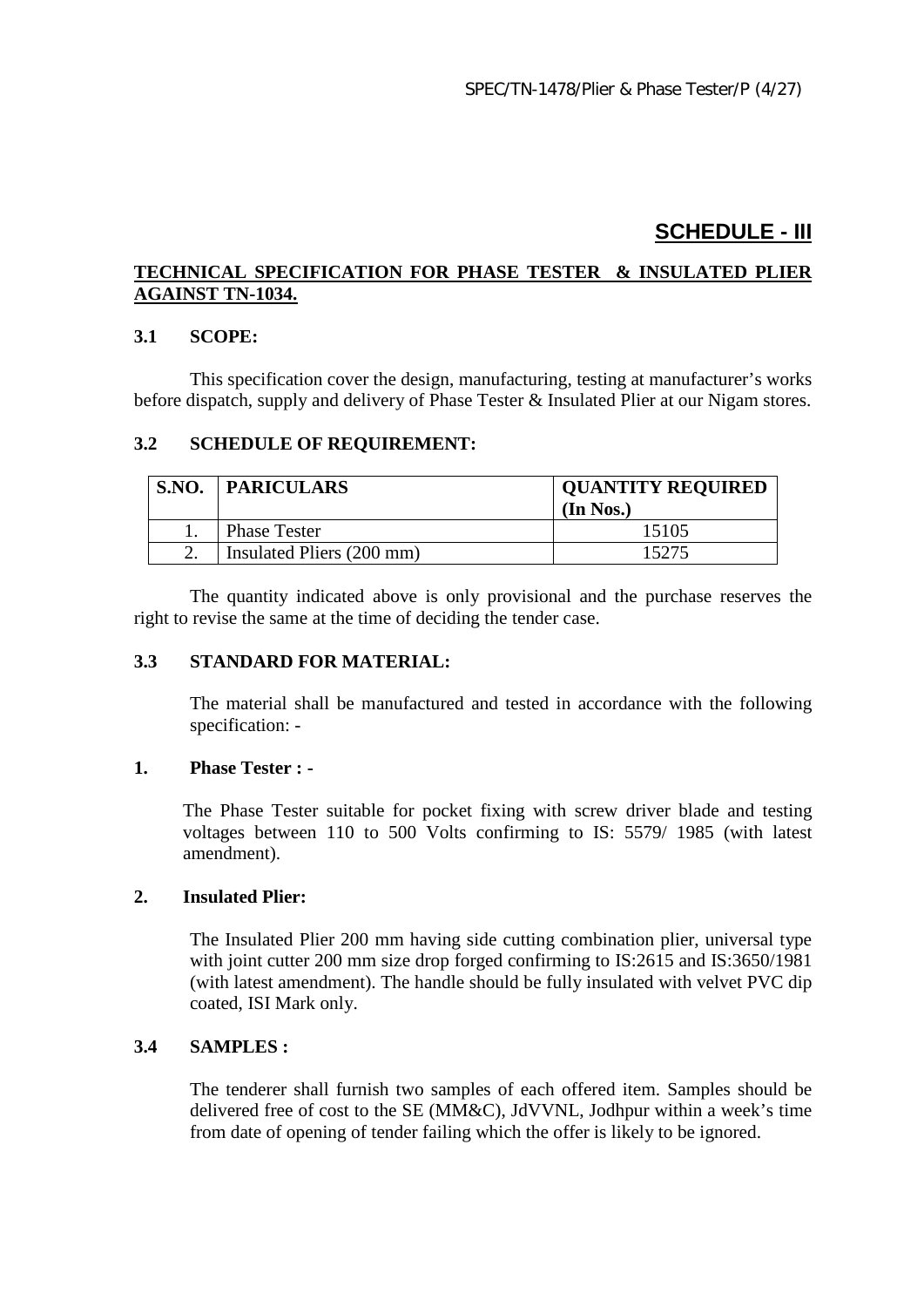# **SCHEDULE - III**

# **TECHNICAL SPECIFICATION FOR PHASE TESTER & INSULATED PLIER AGAINST TN-1034.**

## **3.1 SCOPE:**

This specification cover the design, manufacturing, testing at manufacturer's works before dispatch, supply and delivery of Phase Tester & Insulated Plier at our Nigam stores.

# **3.2 SCHEDULE OF REQUIREMENT:**

| S.NO. | <b>PARICULARS</b>         | <b>QUANTITY REQUIRED</b><br>(In Nos.) |
|-------|---------------------------|---------------------------------------|
|       | <b>Phase Tester</b>       | 15105                                 |
|       | Insulated Pliers (200 mm) | 15275                                 |

The quantity indicated above is only provisional and the purchase reserves the right to revise the same at the time of deciding the tender case.

#### **3.3 STANDARD FOR MATERIAL:**

The material shall be manufactured and tested in accordance with the following specification: -

#### **1. Phase Tester : -**

The Phase Tester suitable for pocket fixing with screw driver blade and testing voltages between 110 to 500 Volts confirming to IS: 5579/ 1985 (with latest amendment).

#### **2. Insulated Plier:**

The Insulated Plier 200 mm having side cutting combination plier, universal type with joint cutter 200 mm size drop forged confirming to IS:2615 and IS:3650/1981 (with latest amendment). The handle should be fully insulated with velvet PVC dip coated, ISI Mark only.

#### **3.4 SAMPLES :**

The tenderer shall furnish two samples of each offered item. Samples should be delivered free of cost to the SE (MM&C), JdVVNL, Jodhpur within a week's time from date of opening of tender failing which the offer is likely to be ignored.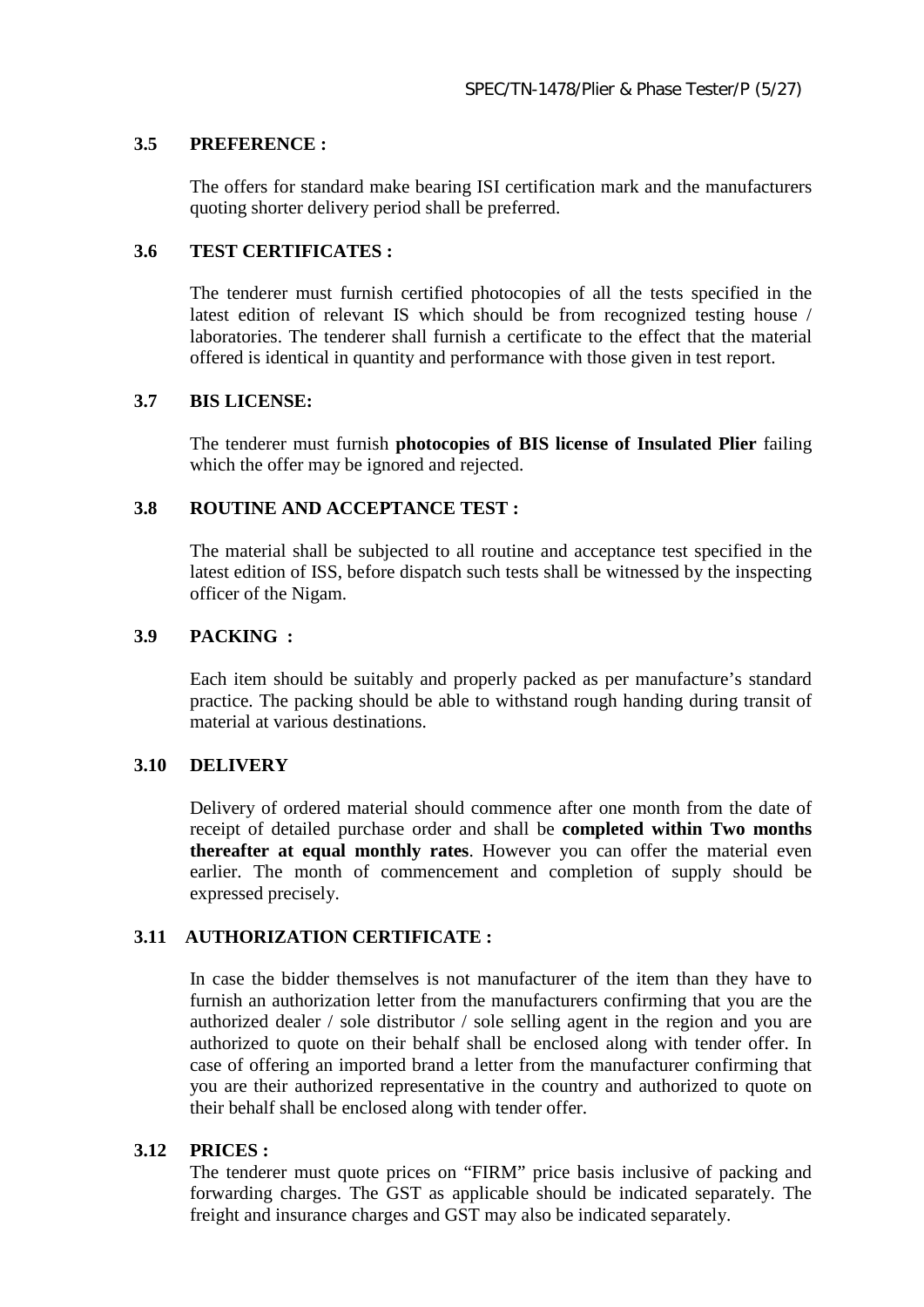### **3.5 PREFERENCE :**

The offers for standard make bearing ISI certification mark and the manufacturers quoting shorter delivery period shall be preferred.

## **3.6 TEST CERTIFICATES :**

The tenderer must furnish certified photocopies of all the tests specified in the latest edition of relevant IS which should be from recognized testing house / laboratories. The tenderer shall furnish a certificate to the effect that the material offered is identical in quantity and performance with those given in test report.

# **3.7 BIS LICENSE:**

The tenderer must furnish **photocopies of BIS license of Insulated Plier** failing which the offer may be ignored and rejected.

# **3.8 ROUTINE AND ACCEPTANCE TEST :**

The material shall be subjected to all routine and acceptance test specified in the latest edition of ISS, before dispatch such tests shall be witnessed by the inspecting officer of the Nigam.

# **3.9 PACKING :**

Each item should be suitably and properly packed as per manufacture's standard practice. The packing should be able to withstand rough handing during transit of material at various destinations.

#### **3.10 DELIVERY**

Delivery of ordered material should commence after one month from the date of receipt of detailed purchase order and shall be **completed within Two months thereafter at equal monthly rates**. However you can offer the material even earlier. The month of commencement and completion of supply should be expressed precisely.

# **3.11 AUTHORIZATION CERTIFICATE :**

In case the bidder themselves is not manufacturer of the item than they have to furnish an authorization letter from the manufacturers confirming that you are the authorized dealer / sole distributor / sole selling agent in the region and you are authorized to quote on their behalf shall be enclosed along with tender offer. In case of offering an imported brand a letter from the manufacturer confirming that you are their authorized representative in the country and authorized to quote on their behalf shall be enclosed along with tender offer.

#### **3.12 PRICES :**

The tenderer must quote prices on "FIRM" price basis inclusive of packing and forwarding charges. The GST as applicable should be indicated separately. The freight and insurance charges and GST may also be indicated separately.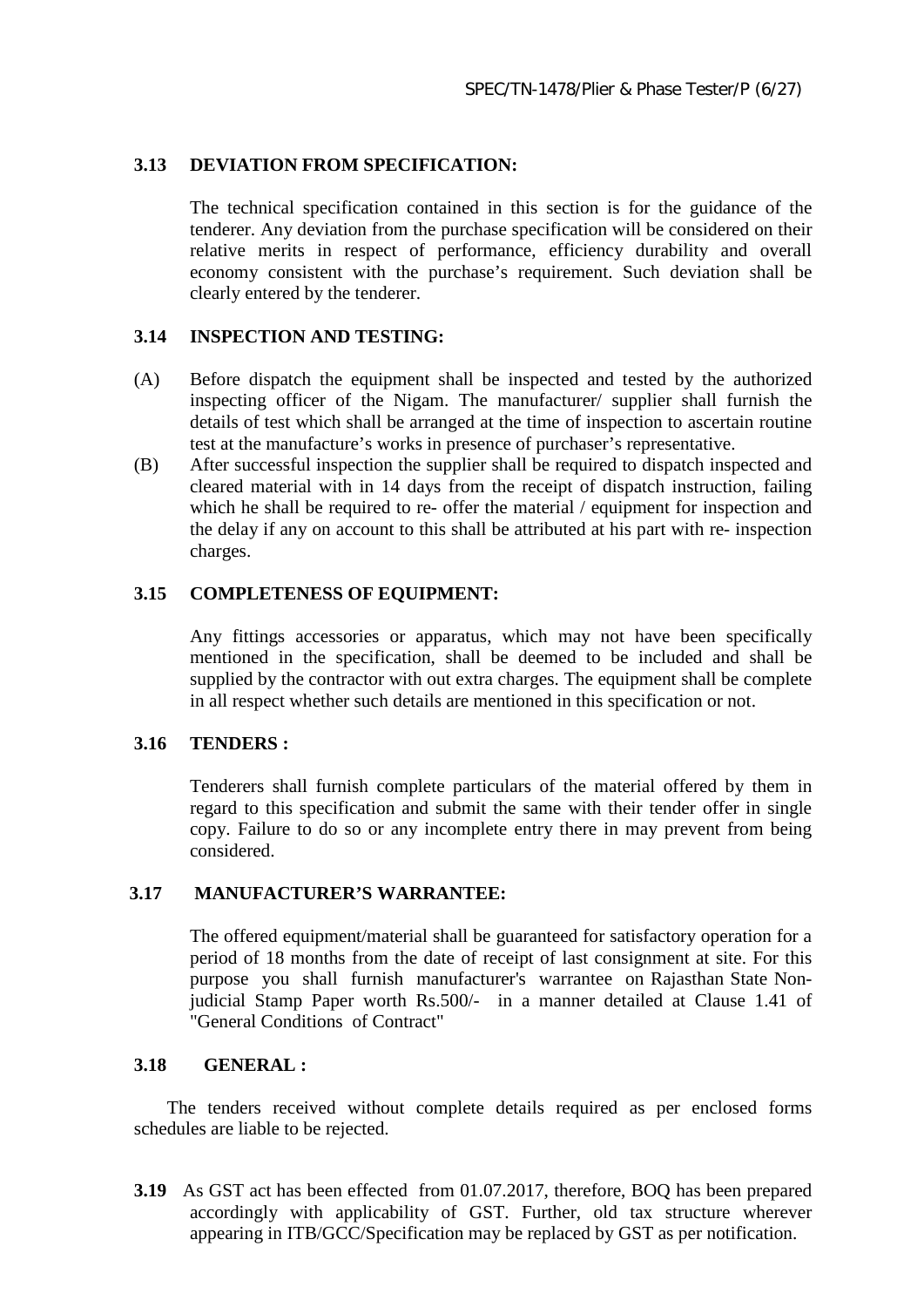# **3.13 DEVIATION FROM SPECIFICATION:**

The technical specification contained in this section is for the guidance of the tenderer. Any deviation from the purchase specification will be considered on their relative merits in respect of performance, efficiency durability and overall economy consistent with the purchase's requirement. Such deviation shall be clearly entered by the tenderer.

## **3.14 INSPECTION AND TESTING:**

- (A) Before dispatch the equipment shall be inspected and tested by the authorized inspecting officer of the Nigam. The manufacturer/ supplier shall furnish the details of test which shall be arranged at the time of inspection to ascertain routine test at the manufacture's works in presence of purchaser's representative.
- (B) After successful inspection the supplier shall be required to dispatch inspected and cleared material with in 14 days from the receipt of dispatch instruction, failing which he shall be required to re- offer the material / equipment for inspection and the delay if any on account to this shall be attributed at his part with re- inspection charges.

## **3.15 COMPLETENESS OF EQUIPMENT:**

Any fittings accessories or apparatus, which may not have been specifically mentioned in the specification, shall be deemed to be included and shall be supplied by the contractor with out extra charges. The equipment shall be complete in all respect whether such details are mentioned in this specification or not.

#### **3.16 TENDERS :**

Tenderers shall furnish complete particulars of the material offered by them in regard to this specification and submit the same with their tender offer in single copy. Failure to do so or any incomplete entry there in may prevent from being considered.

## **3.17 MANUFACTURER'S WARRANTEE:**

The offered equipment/material shall be guaranteed for satisfactory operation for a period of 18 months from the date of receipt of last consignment at site. For this purpose you shall furnish manufacturer's warrantee on Rajasthan State Nonjudicial Stamp Paper worth Rs.500/- in a manner detailed at Clause 1.41 of "General Conditions of Contract"

## **3.18 GENERAL :**

The tenders received without complete details required as per enclosed forms schedules are liable to be rejected.

**3.19** As GST act has been effected from 01.07.2017, therefore, BOQ has been prepared accordingly with applicability of GST. Further, old tax structure wherever appearing in ITB/GCC/Specification may be replaced by GST as per notification.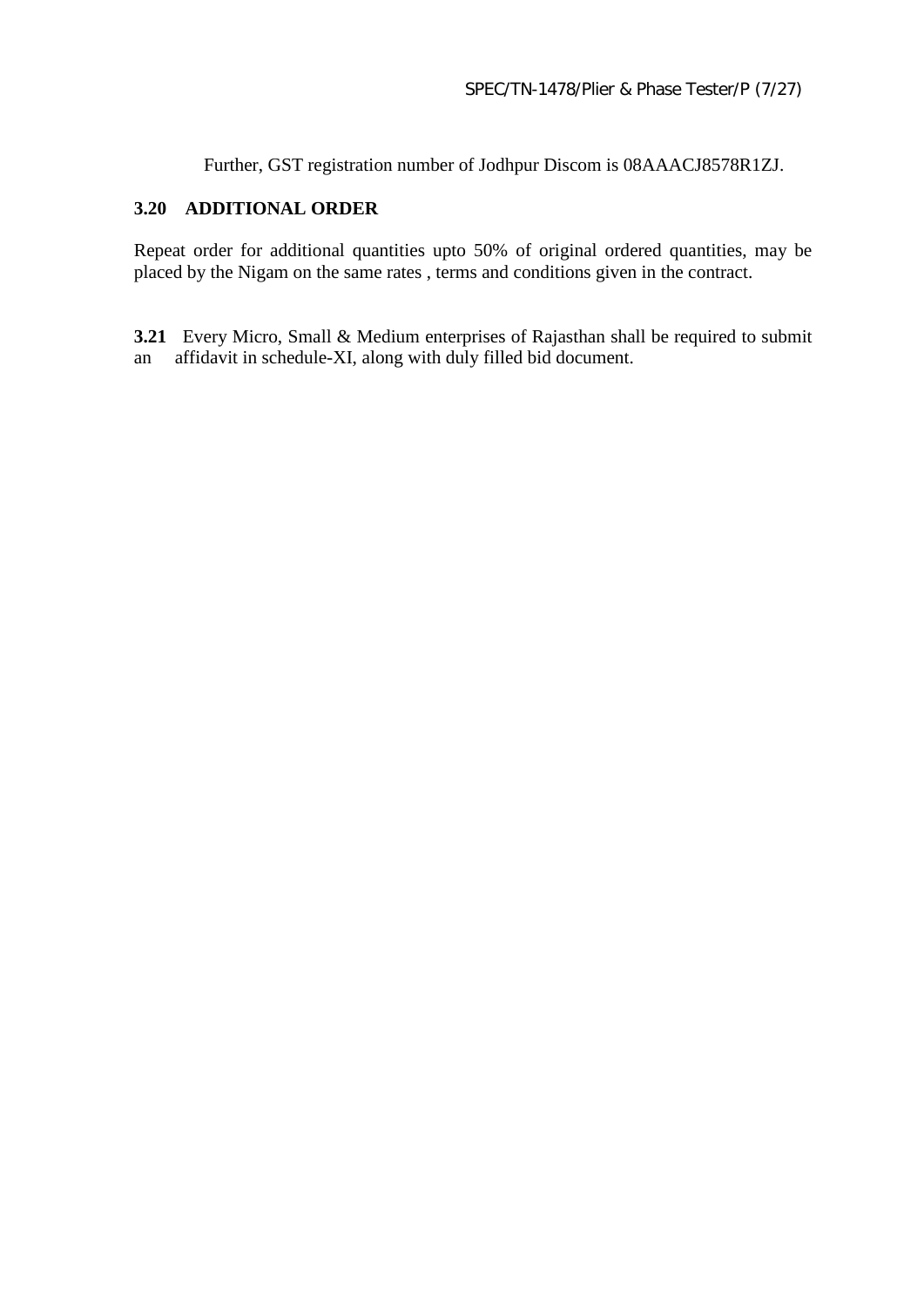Further, GST registration number of Jodhpur Discom is 08AAACJ8578R1ZJ.

# **3.20 ADDITIONAL ORDER**

Repeat order for additional quantities upto 50% of original ordered quantities, may be placed by the Nigam on the same rates , terms and conditions given in the contract.

**3.21** Every Micro, Small & Medium enterprises of Rajasthan shall be required to submit an affidavit in schedule-XI, along with duly filled bid document.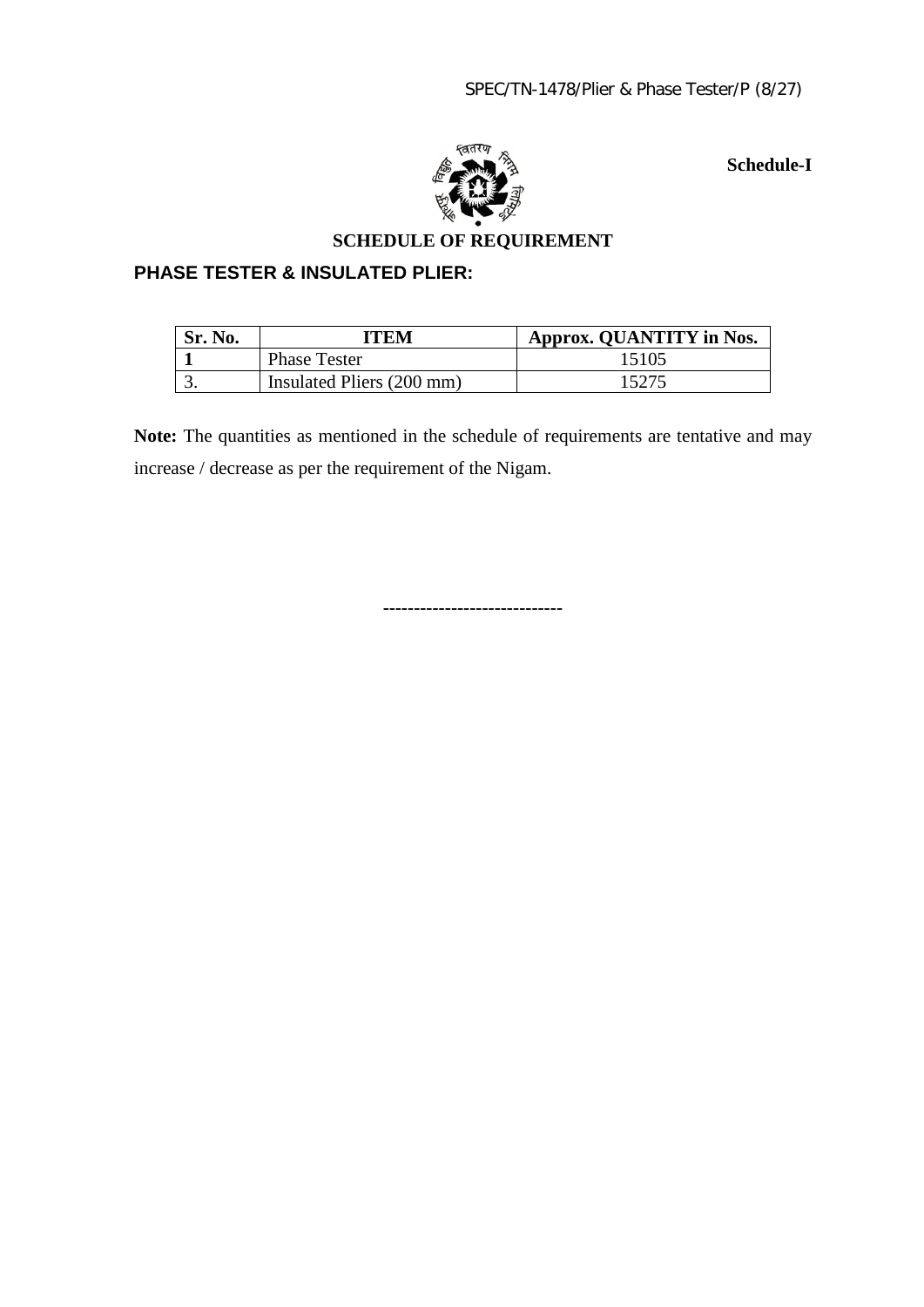

 **Schedule-I**

# **SCHEDULE OF REQUIREMENT**

# **PHASE TESTER & INSULATED PLIER:**

| Sr. No. | ITEM                      | Approx. QUANTITY in Nos. |
|---------|---------------------------|--------------------------|
|         | <b>Phase Tester</b>       | 15105                    |
|         | Insulated Pliers (200 mm) | 15275                    |

Note: The quantities as mentioned in the schedule of requirements are tentative and may increase / decrease as per the requirement of the Nigam.

**-----------------------------**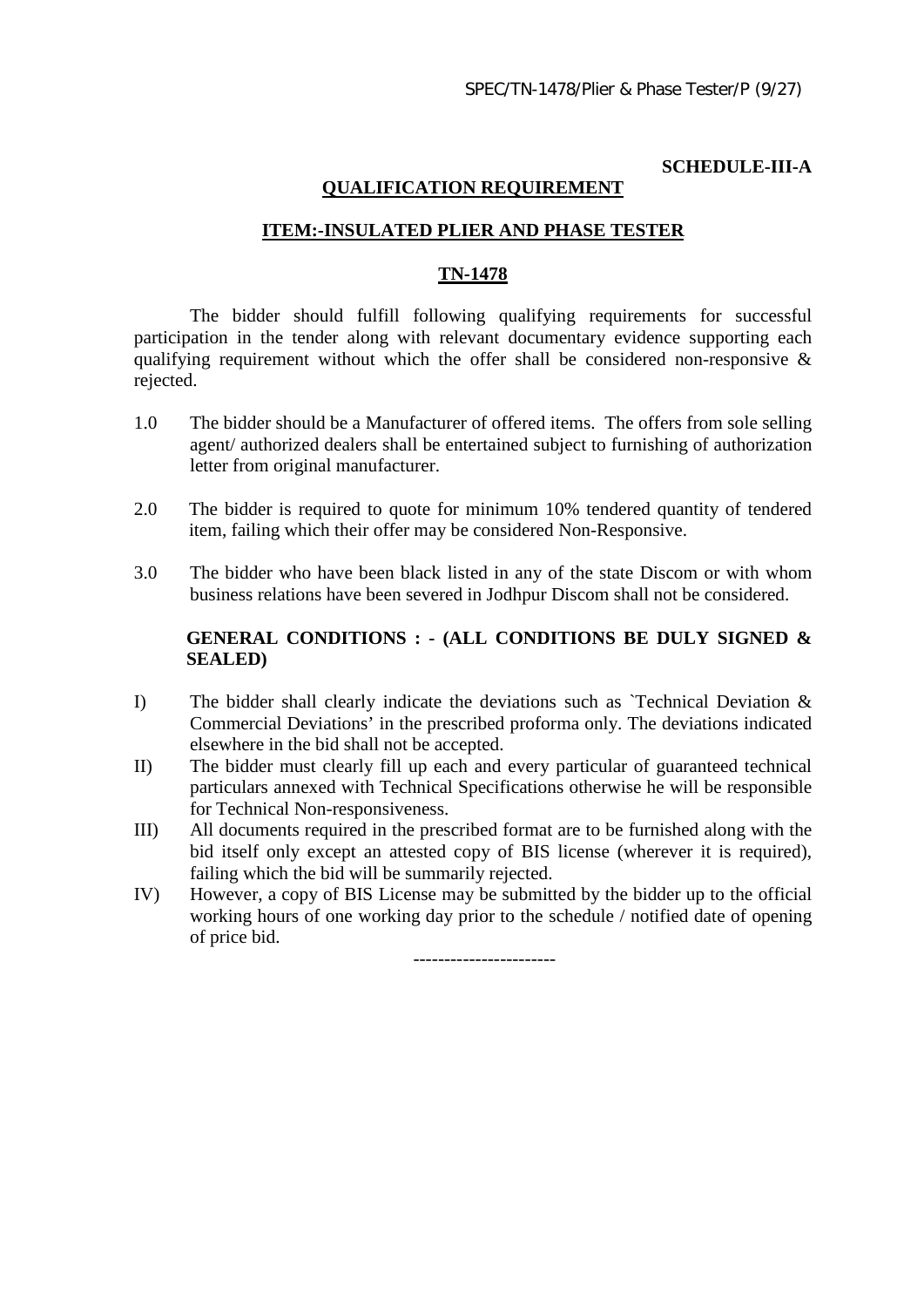# **SCHEDULE-III-A**

### **QUALIFICATION REQUIREMENT**

## **ITEM:-INSULATED PLIER AND PHASE TESTER**

## **TN-1478**

The bidder should fulfill following qualifying requirements for successful participation in the tender along with relevant documentary evidence supporting each qualifying requirement without which the offer shall be considered non-responsive  $\&$ rejected.

- 1.0 The bidder should be a Manufacturer of offered items. The offers from sole selling agent/ authorized dealers shall be entertained subject to furnishing of authorization letter from original manufacturer.
- 2.0 The bidder is required to quote for minimum 10% tendered quantity of tendered item, failing which their offer may be considered Non-Responsive.
- 3.0 The bidder who have been black listed in any of the state Discom or with whom business relations have been severed in Jodhpur Discom shall not be considered.

# **GENERAL CONDITIONS : - (ALL CONDITIONS BE DULY SIGNED & SEALED)**

- I) The bidder shall clearly indicate the deviations such as `Technical Deviation & Commercial Deviations' in the prescribed proforma only. The deviations indicated elsewhere in the bid shall not be accepted.
- II) The bidder must clearly fill up each and every particular of guaranteed technical particulars annexed with Technical Specifications otherwise he will be responsible for Technical Non-responsiveness.
- III) All documents required in the prescribed format are to be furnished along with the bid itself only except an attested copy of BIS license (wherever it is required), failing which the bid will be summarily rejected.
- IV) However, a copy of BIS License may be submitted by the bidder up to the official working hours of one working day prior to the schedule / notified date of opening of price bid.

-----------------------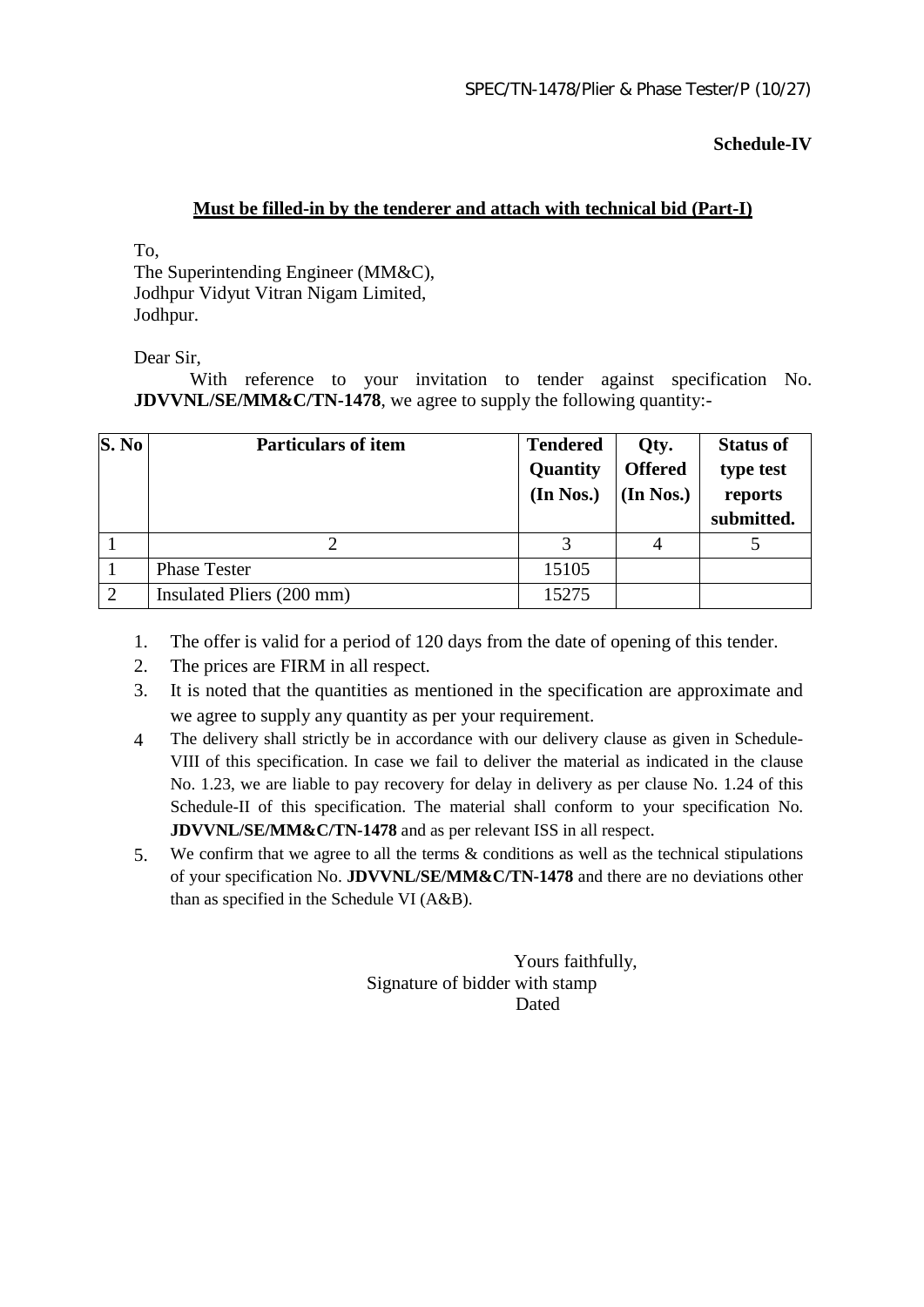**Schedule-IV**

## **Must be filled-in by the tenderer and attach with technical bid (Part-I)**

To,

The Superintending Engineer (MM&C), Jodhpur Vidyut Vitran Nigam Limited, Jodhpur.

Dear Sir,

With reference to your invitation to tender against specification No. **JDVVNL/SE/MM&C/TN-1478**, we agree to supply the following quantity:-

| S. No         | <b>Particulars of item</b> | <b>Tendered</b><br>Quantity<br>(In Nos.) | Qty.<br><b>Offered</b><br>(In Nos.) | <b>Status of</b><br>type test<br>reports<br>submitted. |
|---------------|----------------------------|------------------------------------------|-------------------------------------|--------------------------------------------------------|
|               |                            |                                          | 4                                   |                                                        |
|               | <b>Phase Tester</b>        | 15105                                    |                                     |                                                        |
| $\mathcal{D}$ | Insulated Pliers (200 mm)  | 15275                                    |                                     |                                                        |

- 1. The offer is valid for a period of 120 days from the date of opening of this tender.
- 2. The prices are FIRM in all respect.
- 3. It is noted that the quantities as mentioned in the specification are approximate and we agree to supply any quantity as per your requirement.
- 4 The delivery shall strictly be in accordance with our delivery clause as given in Schedule-VIII of this specification. In case we fail to deliver the material as indicated in the clause No. 1.23, we are liable to pay recovery for delay in delivery as per clause No. 1.24 of this Schedule-II of this specification. The material shall conform to your specification No. **JDVVNL/SE/MM&C/TN-1478** and as per relevant ISS in all respect.
- 5. We confirm that we agree to all the terms & conditions as well as the technical stipulations of your specification No. **JDVVNL/SE/MM&C/TN-1478** and there are no deviations other than as specified in the Schedule VI (A&B).

 Yours faithfully, Signature of bidder with stamp **Dated** Dated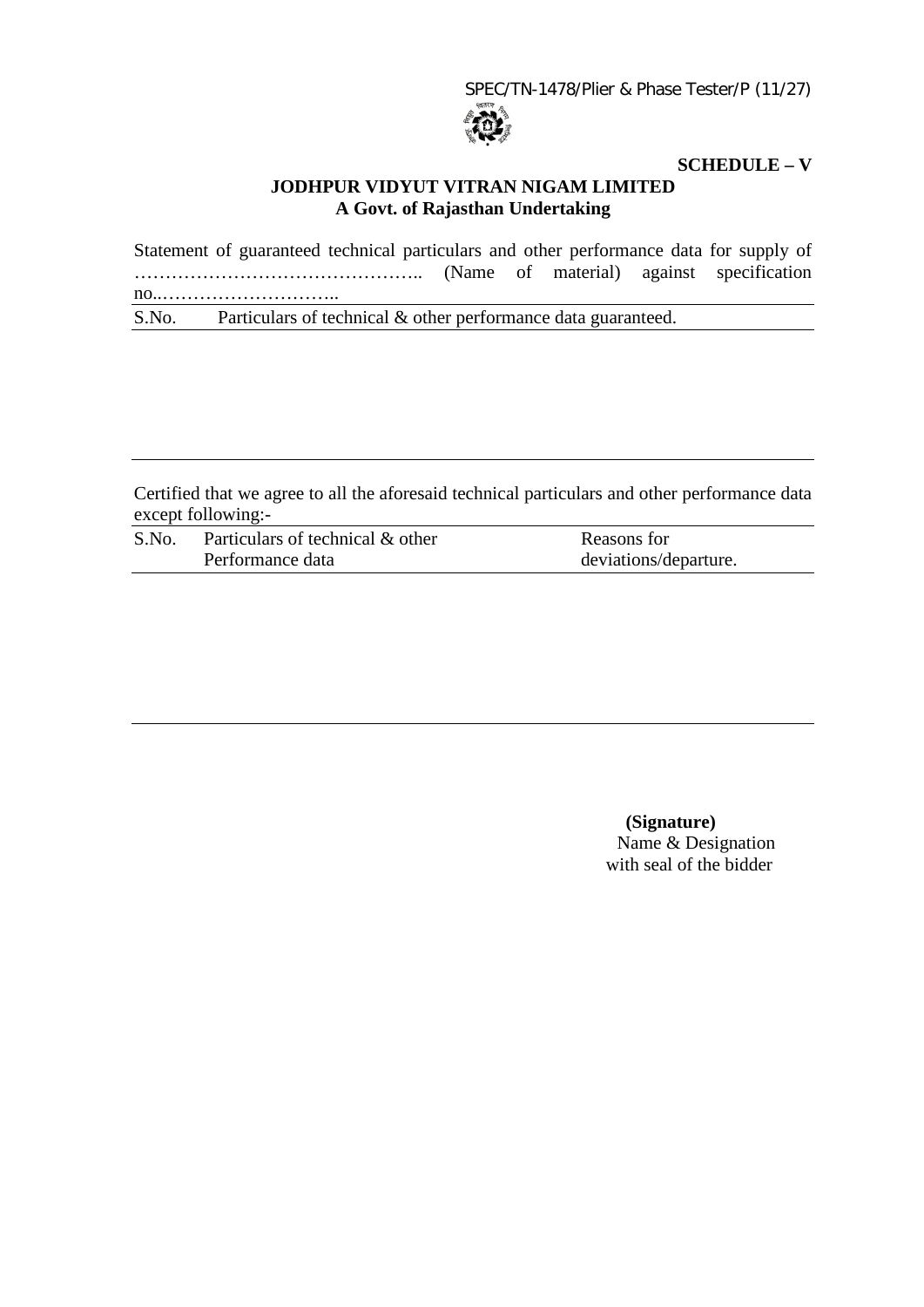SPEC/TN-1478/Plier & Phase Tester/P (11/27)



# **SCHEDULE – V**

# **JODHPUR VIDYUT VITRAN NIGAM LIMITED A Govt. of Rajasthan Undertaking**

Statement of guaranteed technical particulars and other performance data for supply of ……………………………………….. (Name of material) against specification no..……………………….. S.No. Particulars of technical & other performance data guaranteed.

Certified that we agree to all the aforesaid technical particulars and other performance data except following:-

| S.No. | Particulars of technical & other | Reasons for           |
|-------|----------------------------------|-----------------------|
|       | Performance data                 | deviations/departure. |

 **(Signature)** Name & Designation with seal of the bidder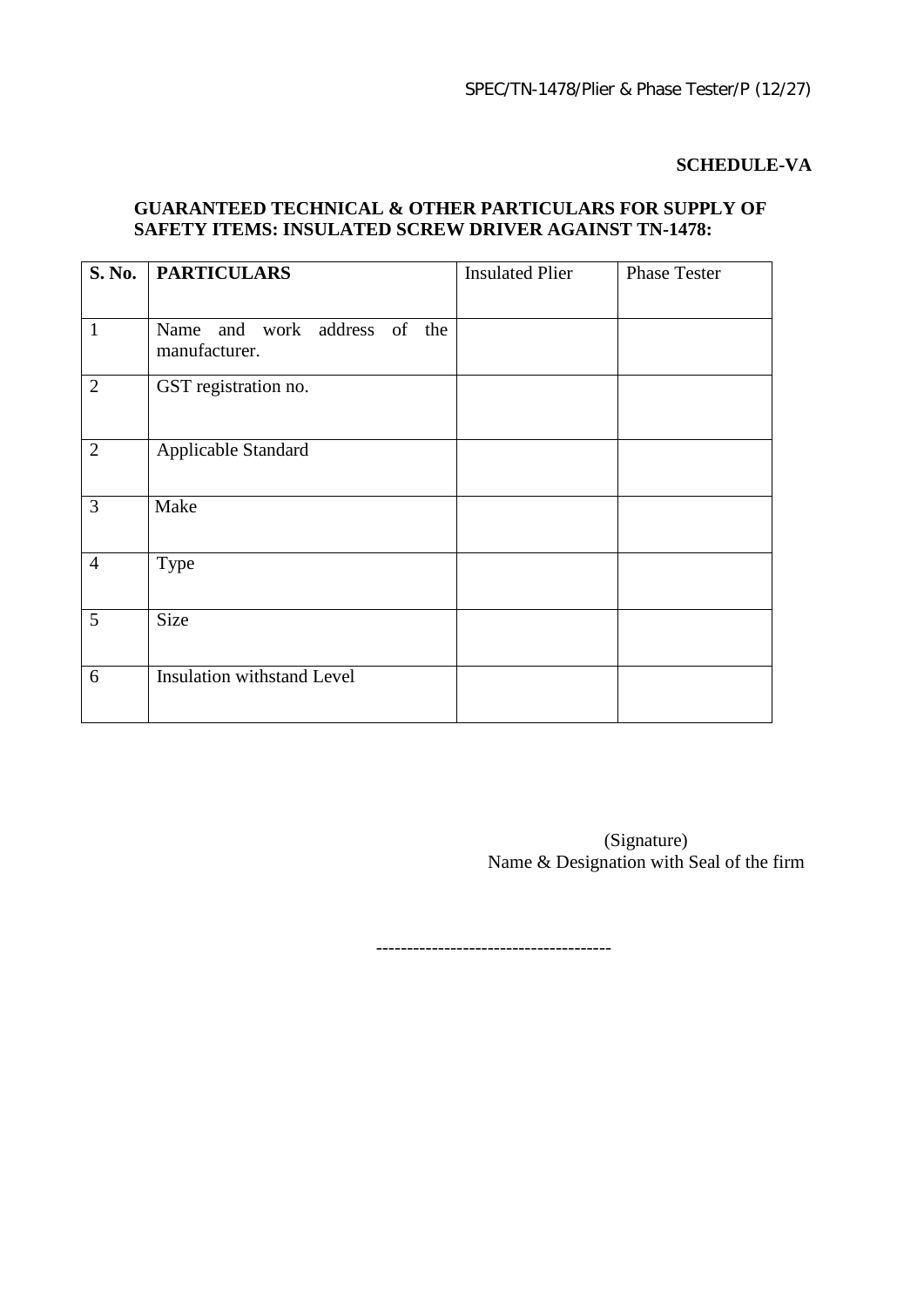# **SCHEDULE-VA**

# **GUARANTEED TECHNICAL & OTHER PARTICULARS FOR SUPPLY OF SAFETY ITEMS: INSULATED SCREW DRIVER AGAINST TN-1478:**

|                | S. No.   PARTICULARS                          | <b>Insulated Plier</b> | <b>Phase Tester</b> |
|----------------|-----------------------------------------------|------------------------|---------------------|
| $\mathbf{1}$   | Name and work address of the<br>manufacturer. |                        |                     |
| 2              | GST registration no.                          |                        |                     |
| $\overline{2}$ | Applicable Standard                           |                        |                     |
| 3              | Make                                          |                        |                     |
| $\overline{4}$ | Type                                          |                        |                     |
| 5              | <b>Size</b>                                   |                        |                     |
| 6              | <b>Insulation withstand Level</b>             |                        |                     |

 (Signature) Name & Designation with Seal of the firm

--------------------------------------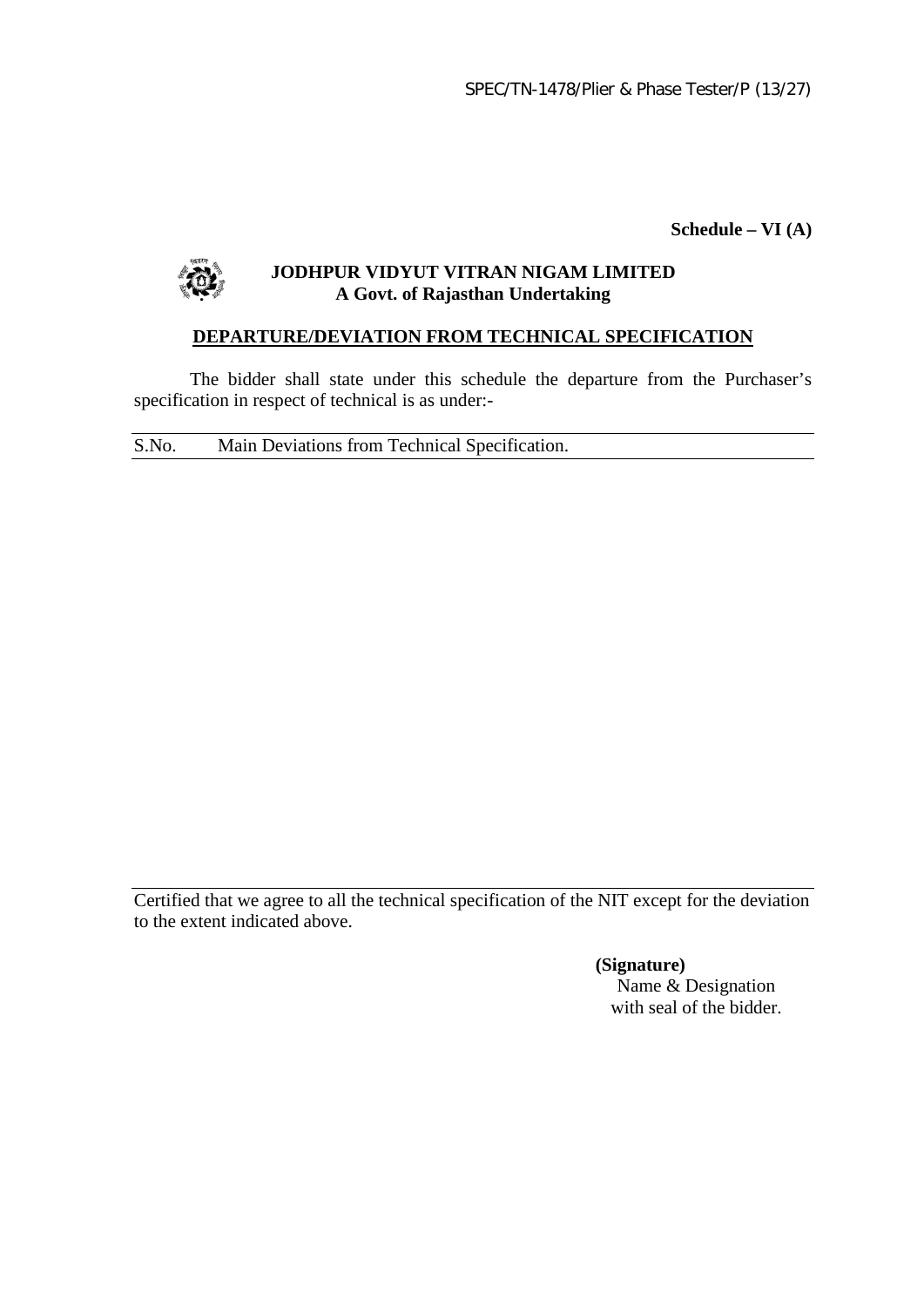**Schedule – VI (A)**



# **JODHPUR VIDYUT VITRAN NIGAM LIMITED A Govt. of Rajasthan Undertaking**

# **DEPARTURE/DEVIATION FROM TECHNICAL SPECIFICATION**

The bidder shall state under this schedule the departure from the Purchaser's specification in respect of technical is as under:-

S.No. Main Deviations from Technical Specification.

Certified that we agree to all the technical specification of the NIT except for the deviation to the extent indicated above.

> **(Signature)** Name & Designation with seal of the bidder.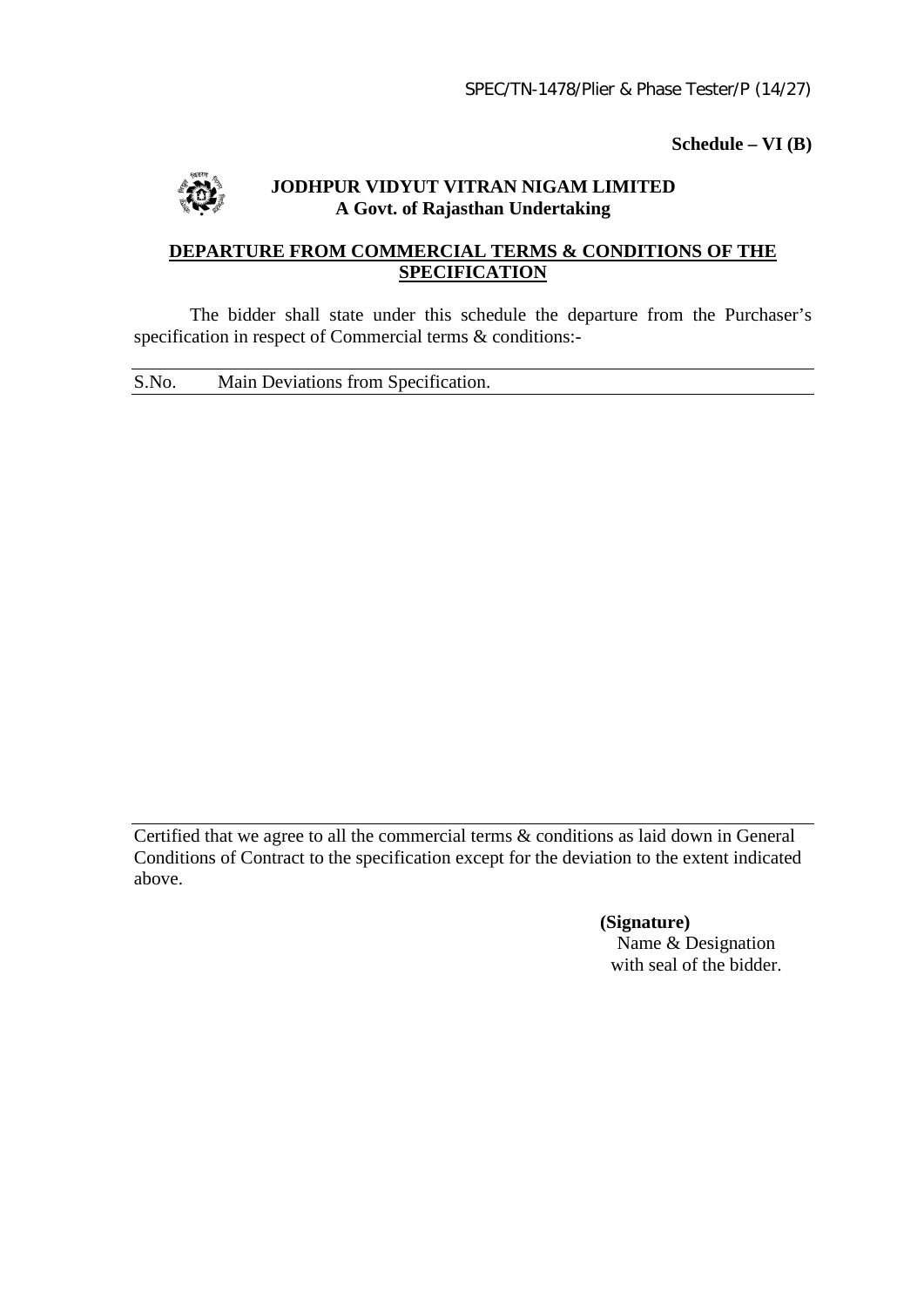**Schedule – VI (B)**



# **JODHPUR VIDYUT VITRAN NIGAM LIMITED A Govt. of Rajasthan Undertaking**

# **DEPARTURE FROM COMMERCIAL TERMS & CONDITIONS OF THE SPECIFICATION**

The bidder shall state under this schedule the departure from the Purchaser's specification in respect of Commercial terms & conditions:-

S.No. Main Deviations from Specification.

Certified that we agree to all the commercial terms & conditions as laid down in General Conditions of Contract to the specification except for the deviation to the extent indicated above.

> **(Signature)** Name & Designation with seal of the bidder.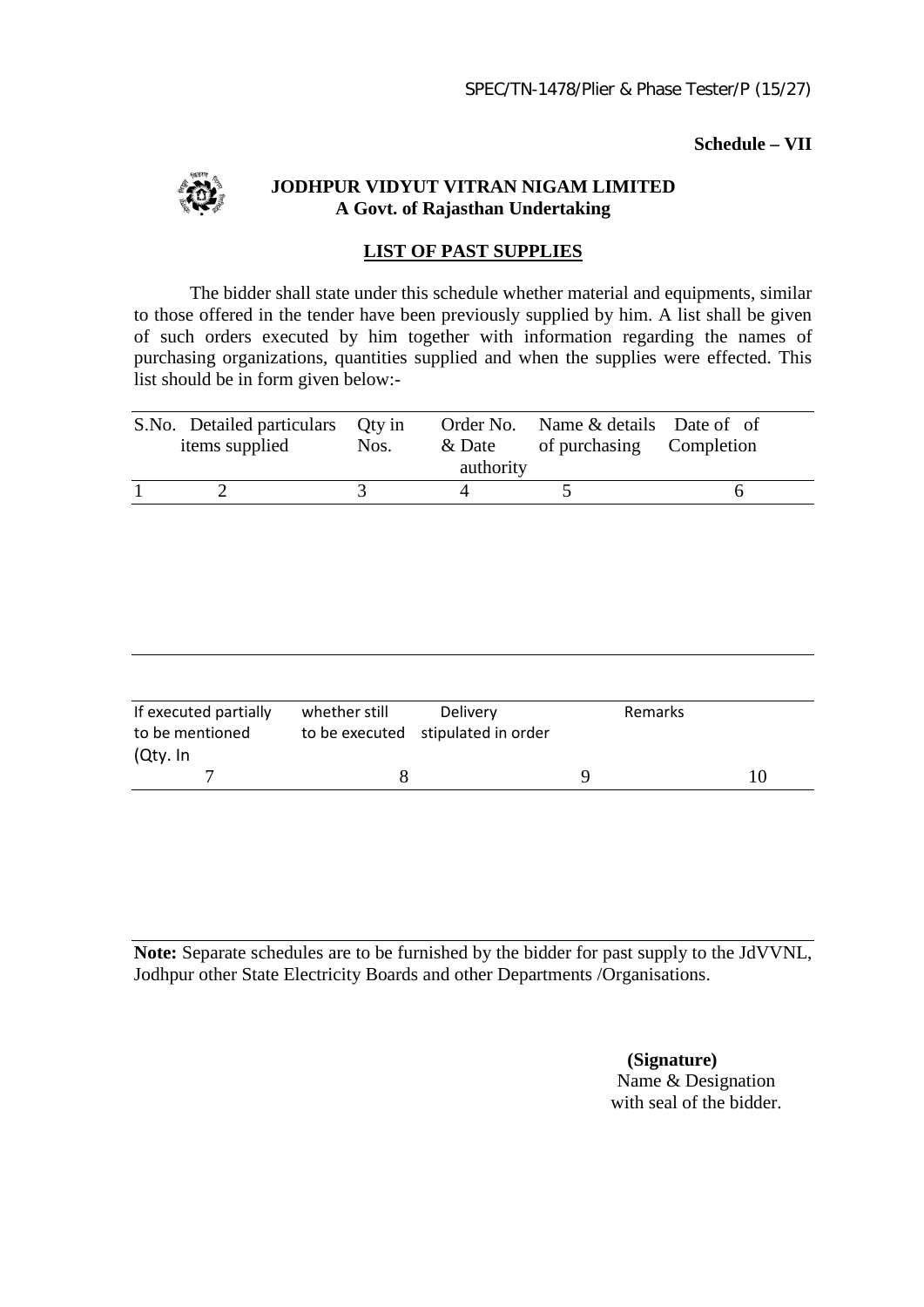#### **Schedule – VII**



**JODHPUR VIDYUT VITRAN NIGAM LIMITED A Govt. of Rajasthan Undertaking**

## **LIST OF PAST SUPPLIES**

The bidder shall state under this schedule whether material and equipments, similar to those offered in the tender have been previously supplied by him. A list shall be given of such orders executed by him together with information regarding the names of purchasing organizations, quantities supplied and when the supplies were effected. This list should be in form given below:-

| S.No. Detailed particulars Qty in<br>items supplied | Nos. | & Date<br>authority | Order No. Name & details Date of of<br>of purchasing Completion |  |
|-----------------------------------------------------|------|---------------------|-----------------------------------------------------------------|--|
|                                                     |      |                     |                                                                 |  |

| If executed partially<br>to be mentioned | whether still<br>Delivery<br>to be executed stipulated in order |  | Remarks |  |
|------------------------------------------|-----------------------------------------------------------------|--|---------|--|
| (Qty. In                                 |                                                                 |  |         |  |
|                                          |                                                                 |  |         |  |

**Note:** Separate schedules are to be furnished by the bidder for past supply to the JdVVNL, Jodhpur other State Electricity Boards and other Departments /Organisations.

> **(Signature)** Name & Designation with seal of the bidder.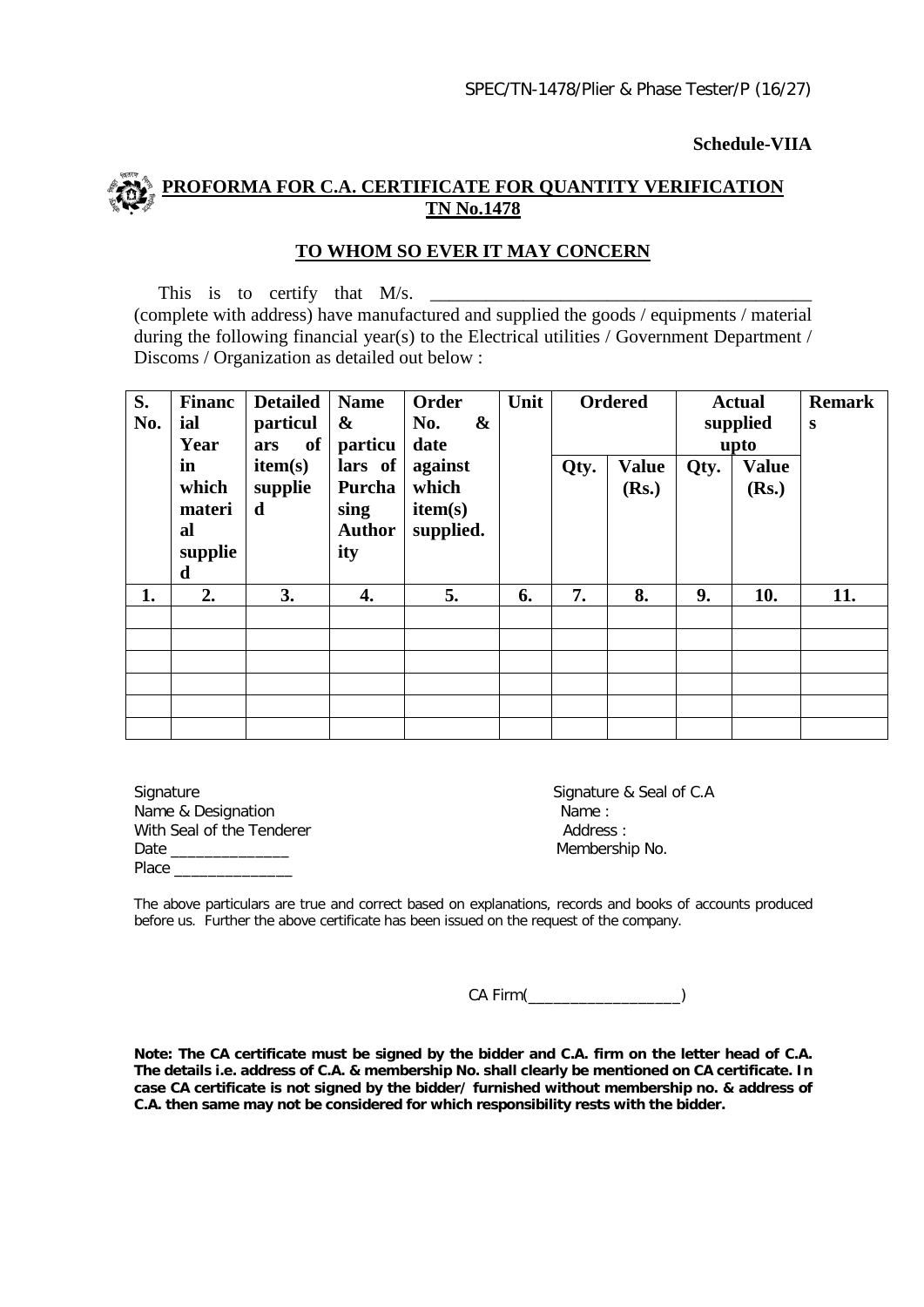#### **Schedule-VIIA**

# **PROFORMA FOR C.A. CERTIFICATE FOR QUANTITY VERIFICATION TN No.1478**

#### **TO WHOM SO EVER IT MAY CONCERN**

This is to certify that M/s. \_\_\_\_\_\_\_\_\_\_\_\_\_\_\_\_\_\_\_\_\_\_\_\_\_\_\_\_\_\_\_\_\_\_\_\_\_\_\_\_\_ (complete with address) have manufactured and supplied the goods / equipments / material during the following financial year(s) to the Electrical utilities / Government Department / Discoms / Organization as detailed out below :

| S.<br>No. | <b>Financ</b><br>ial<br>Year                | <b>Detailed</b><br>particul<br>of<br>ars | <b>Name</b><br>$\boldsymbol{\&}$<br>particu                           | Order<br>$\boldsymbol{\&}$<br>No. | Unit |    | <b>Ordered</b> |    | <b>Actual</b><br>supplied<br>upto | <b>Remark</b><br>S |      |                       |      |                       |  |
|-----------|---------------------------------------------|------------------------------------------|-----------------------------------------------------------------------|-----------------------------------|------|----|----------------|----|-----------------------------------|--------------------|------|-----------------------|------|-----------------------|--|
|           | in<br>which<br>materi<br>al<br>supplie<br>d | item(s)<br>supplie<br>d                  | lars of<br>which<br>Purcha<br>item(s)<br>sing<br><b>Author</b><br>ity | against<br>supplied.              | date |    |                |    |                                   |                    | Qty. | <b>Value</b><br>(Rs.) | Qty. | <b>Value</b><br>(Rs.) |  |
| 1.        | 2.                                          | 3.                                       | 4.                                                                    | 5.                                | 6.   | 7. | 8.             | 9. | 10.                               | 11.                |      |                       |      |                       |  |
|           |                                             |                                          |                                                                       |                                   |      |    |                |    |                                   |                    |      |                       |      |                       |  |
|           |                                             |                                          |                                                                       |                                   |      |    |                |    |                                   |                    |      |                       |      |                       |  |
|           |                                             |                                          |                                                                       |                                   |      |    |                |    |                                   |                    |      |                       |      |                       |  |
|           |                                             |                                          |                                                                       |                                   |      |    |                |    |                                   |                    |      |                       |      |                       |  |
|           |                                             |                                          |                                                                       |                                   |      |    |                |    |                                   |                    |      |                       |      |                       |  |
|           |                                             |                                          |                                                                       |                                   |      |    |                |    |                                   |                    |      |                       |      |                       |  |

Signature Signature Signature & Seal of C.A<br>
Name & Designation Mame : Name & Designation With Seal of the Tenderer **Address** : Date \_\_\_\_\_\_\_\_\_\_\_\_\_\_ Membership No. Place \_\_\_\_\_\_\_

The above particulars are true and correct based on explanations, records and books of accounts produced before us. Further the above certificate has been issued on the request of the company.

CA Firm(\_\_\_\_\_\_\_\_\_\_\_\_\_\_\_\_\_\_)

**Note: The CA certificate must be signed by the bidder and C.A. firm on the letter head of C.A. The details i.e. address of C.A. & membership No. shall clearly be mentioned on CA certificate. In case CA certificate is not signed by the bidder/ furnished without membership no. & address of C.A. then same may not be considered for which responsibility rests with the bidder.**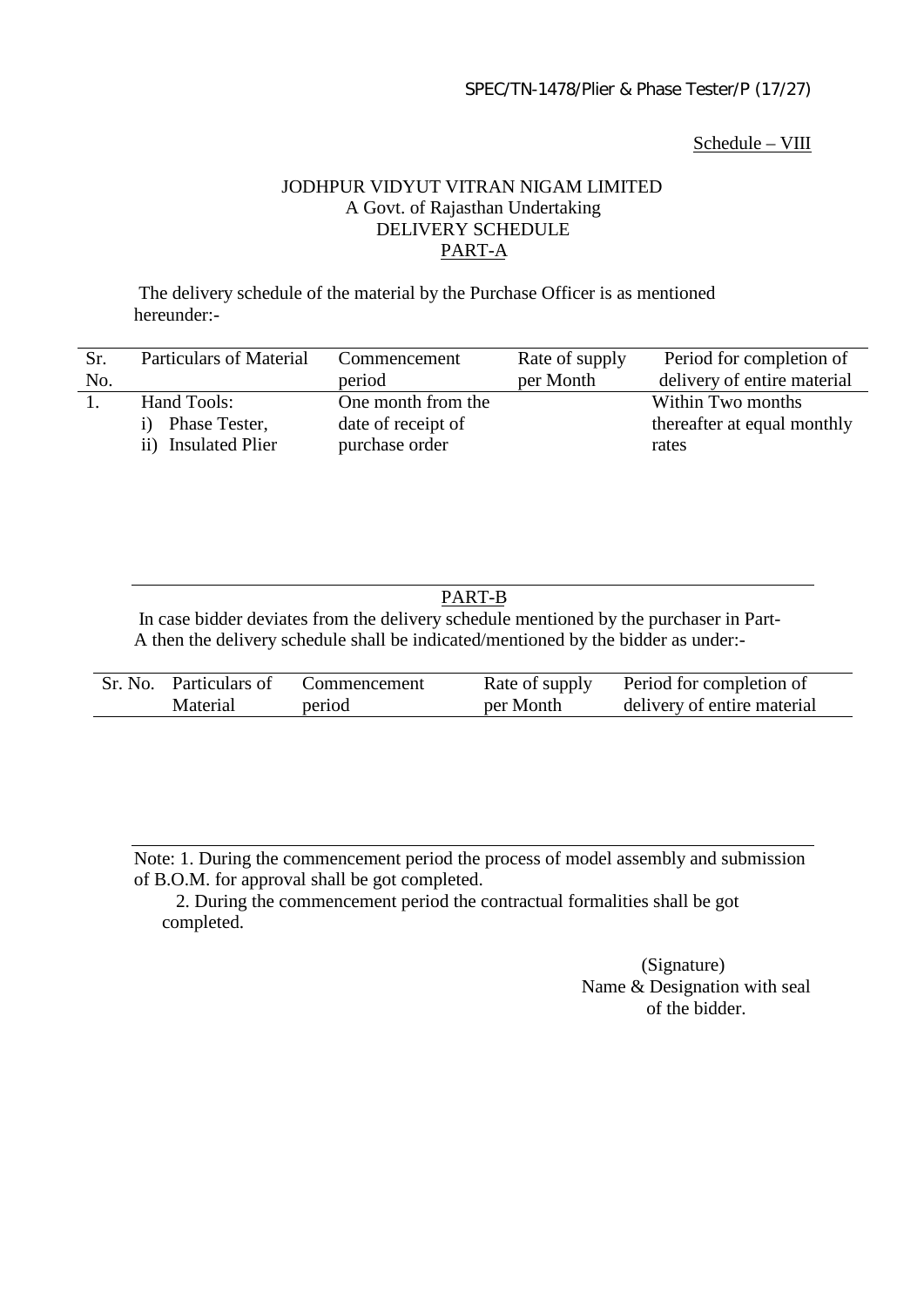#### Schedule – VIII

## JODHPUR VIDYUT VITRAN NIGAM LIMITED A Govt. of Rajasthan Undertaking DELIVERY SCHEDULE PART-A

 The delivery schedule of the material by the Purchase Officer is as mentioned hereunder:-

| Sr. | <b>Particulars of Material</b> | Commencement       | Rate of supply | Period for completion of    |
|-----|--------------------------------|--------------------|----------------|-----------------------------|
| No. |                                | period             | per Month      | delivery of entire material |
|     | Hand Tools:                    | One month from the |                | Within Two months           |
|     | Phase Tester,                  | date of receipt of |                | thereafter at equal monthly |
|     | ii) Insulated Plier            | purchase order     |                | rates                       |

# PART-B

 In case bidder deviates from the delivery schedule mentioned by the purchaser in Part-A then the delivery schedule shall be indicated/mentioned by the bidder as under:-

| Sr. No. Particulars of | Commencement | Rate of supply | Period for completion of    |
|------------------------|--------------|----------------|-----------------------------|
| <b>Material</b>        | period       | per Month      | delivery of entire material |

Note: 1. During the commencement period the process of model assembly and submission of B.O.M. for approval shall be got completed.

 2. During the commencement period the contractual formalities shall be got completed.

> (Signature) Name & Designation with seal of the bidder.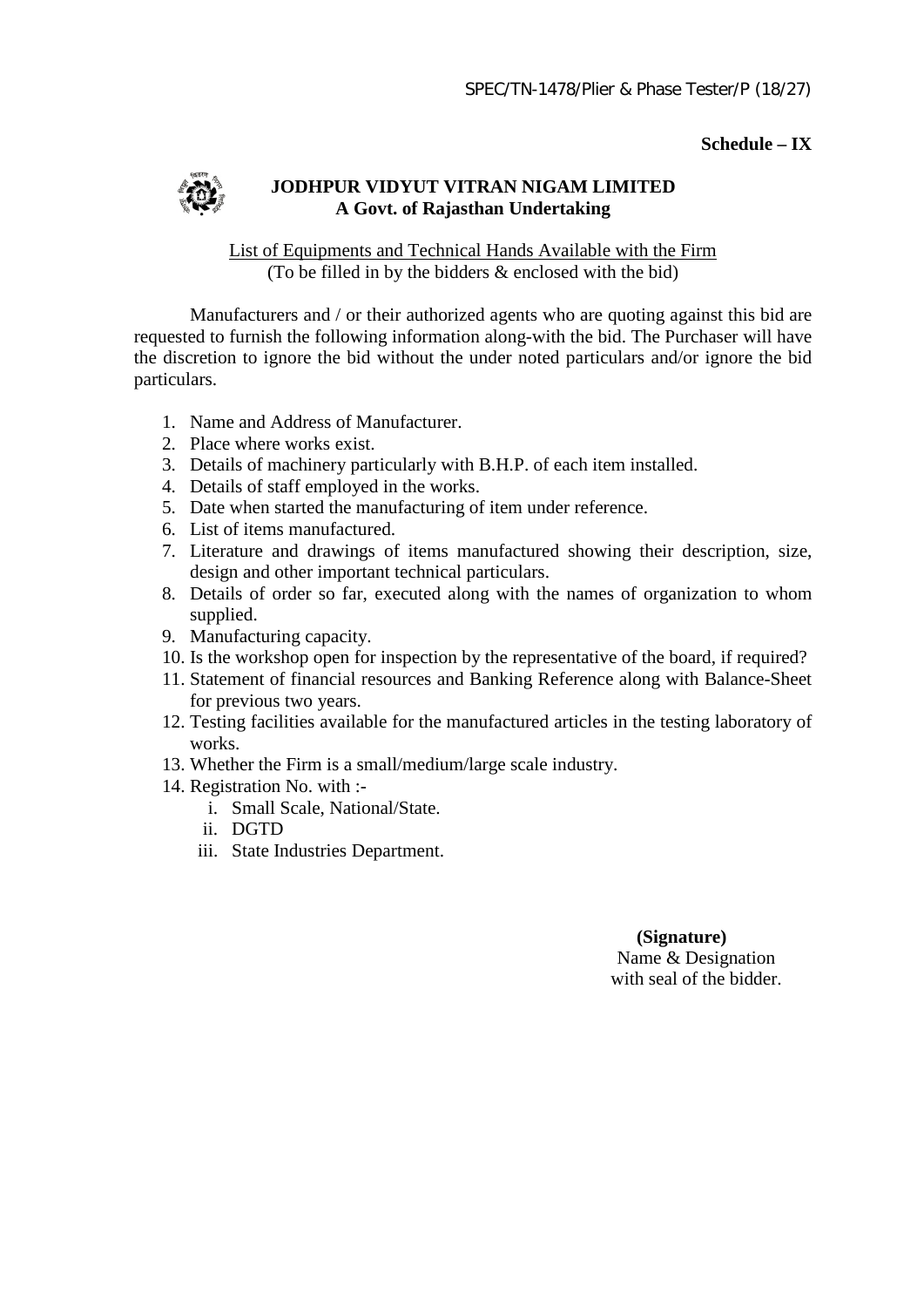#### **Schedule – IX**



## **JODHPUR VIDYUT VITRAN NIGAM LIMITED A Govt. of Rajasthan Undertaking**

List of Equipments and Technical Hands Available with the Firm (To be filled in by the bidders & enclosed with the bid)

Manufacturers and / or their authorized agents who are quoting against this bid are requested to furnish the following information along-with the bid. The Purchaser will have the discretion to ignore the bid without the under noted particulars and/or ignore the bid particulars.

- 1. Name and Address of Manufacturer.
- 2. Place where works exist.
- 3. Details of machinery particularly with B.H.P. of each item installed.
- 4. Details of staff employed in the works.
- 5. Date when started the manufacturing of item under reference.
- 6. List of items manufactured.
- 7. Literature and drawings of items manufactured showing their description, size, design and other important technical particulars.
- 8. Details of order so far, executed along with the names of organization to whom supplied.
- 9. Manufacturing capacity.
- 10. Is the workshop open for inspection by the representative of the board, if required?
- 11. Statement of financial resources and Banking Reference along with Balance-Sheet for previous two years.
- 12. Testing facilities available for the manufactured articles in the testing laboratory of works.
- 13. Whether the Firm is a small/medium/large scale industry.
- 14. Registration No. with :
	- i. Small Scale, National/State.
	- ii. DGTD
	- iii. State Industries Department.

#### **(Signature)** Name & Designation

with seal of the bidder.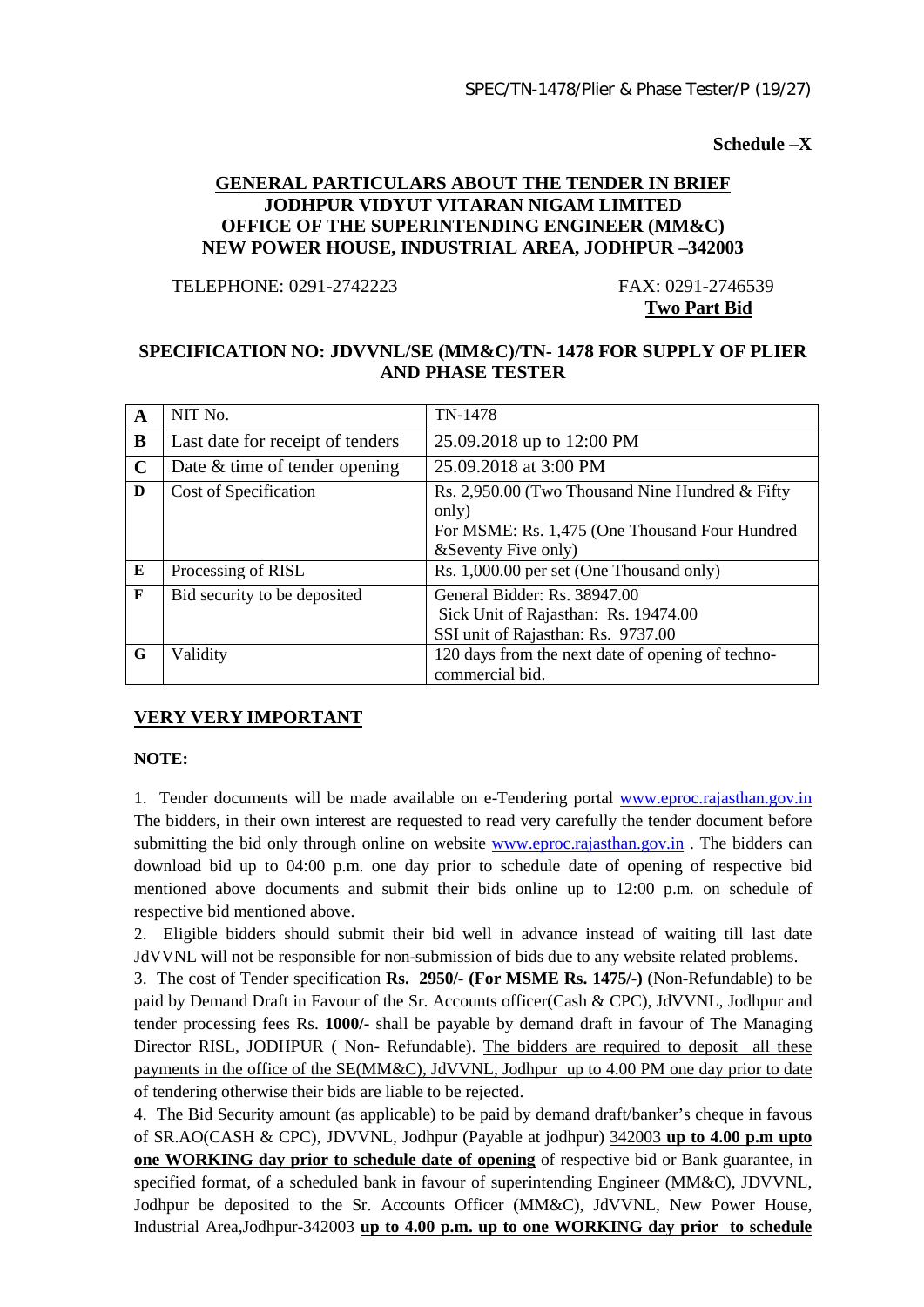**Schedule –X**

#### **GENERAL PARTICULARS ABOUT THE TENDER IN BRIEF JODHPUR VIDYUT VITARAN NIGAM LIMITED OFFICE OF THE SUPERINTENDING ENGINEER (MM&C) NEW POWER HOUSE, INDUSTRIAL AREA, JODHPUR –342003**

TELEPHONE: 0291-2742223 FAX: 0291-2746539

**Two Part Bid**

#### **SPECIFICATION NO: JDVVNL/SE (MM&C)/TN- 1478 FOR SUPPLY OF PLIER AND PHASE TESTER**

| $\mathbf{A}$ | NIT No.                          | TN-1478                                                                                                                             |
|--------------|----------------------------------|-------------------------------------------------------------------------------------------------------------------------------------|
| B            | Last date for receipt of tenders | 25.09.2018 up to 12:00 PM                                                                                                           |
| $\mathbf C$  | Date & time of tender opening    | 25.09.2018 at 3:00 PM                                                                                                               |
| D            | Cost of Specification            | Rs. 2,950.00 (Two Thousand Nine Hundred & Fifty)<br>only)<br>For MSME: Rs. 1,475 (One Thousand Four Hundred<br>& Seventy Five only) |
| E            | Processing of RISL               | Rs. 1,000.00 per set (One Thousand only)                                                                                            |
| $\mathbf F$  | Bid security to be deposited     | General Bidder: Rs. 38947.00<br>Sick Unit of Rajasthan: Rs. 19474.00<br>SSI unit of Rajasthan: Rs. 9737.00                          |
| G            | Validity                         | 120 days from the next date of opening of techno-<br>commercial bid.                                                                |

# **VERY VERY IMPORTANT**

#### **NOTE:**

1. Tender documents will be made available on e-Tendering portal www.eproc.rajasthan.gov.in The bidders, in their own interest are requested to read very carefully the tender document before submitting the bid only through online on website [www.eproc.rajasthan.gov.in](http://www.eproc.rajasthan.gov.in/) The bidders can download bid up to 04:00 p.m. one day prior to schedule date of opening of respective bid mentioned above documents and submit their bids online up to 12:00 p.m. on schedule of respective bid mentioned above.

2. Eligible bidders should submit their bid well in advance instead of waiting till last date JdVVNL will not be responsible for non-submission of bids due to any website related problems.

3. The cost of Tender specification **Rs. 2950/- (For MSME Rs. 1475/-)** (Non-Refundable) to be paid by Demand Draft in Favour of the Sr. Accounts officer(Cash & CPC), JdVVNL, Jodhpur and tender processing fees Rs. **1000/-** shall be payable by demand draft in favour of The Managing Director RISL, JODHPUR ( Non- Refundable). The bidders are required to deposit all these payments in the office of the SE(MM&C), JdVVNL, Jodhpur up to 4.00 PM one day prior to date of tendering otherwise their bids are liable to be rejected.

4. The Bid Security amount (as applicable) to be paid by demand draft/banker's cheque in favous of SR.AO(CASH & CPC), JDVVNL, Jodhpur (Payable at jodhpur) 342003 **up to 4.00 p.m upto one WORKING day prior to schedule date of opening** of respective bid or Bank guarantee, in specified format, of a scheduled bank in favour of superintending Engineer (MM&C), JDVVNL, Jodhpur be deposited to the Sr. Accounts Officer (MM&C), JdVVNL, New Power House, Industrial Area,Jodhpur-342003 **up to 4.00 p.m. up to one WORKING day prior to schedule**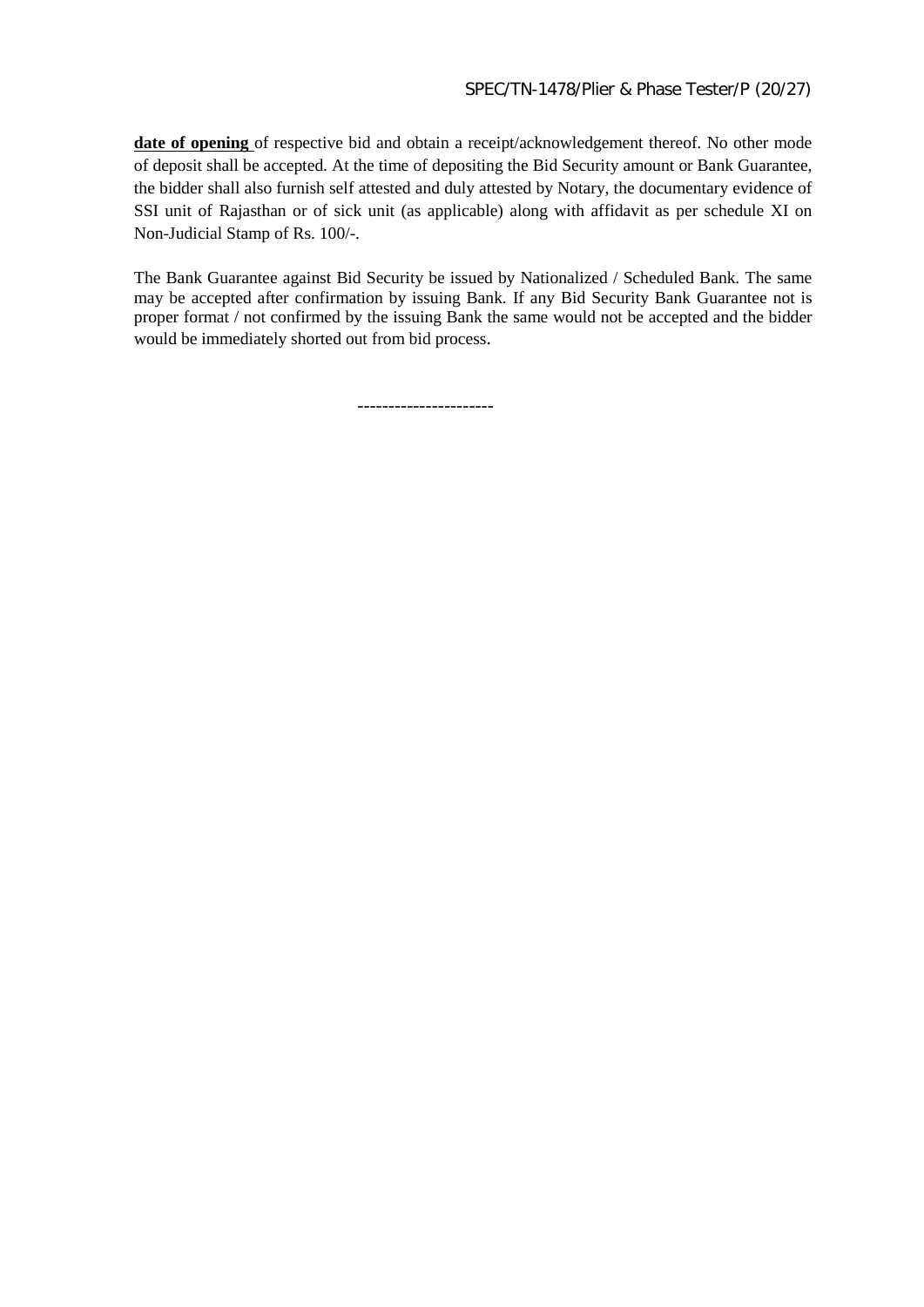**date of opening** of respective bid and obtain a receipt/acknowledgement thereof. No other mode of deposit shall be accepted. At the time of depositing the Bid Security amount or Bank Guarantee, the bidder shall also furnish self attested and duly attested by Notary, the documentary evidence of SSI unit of Rajasthan or of sick unit (as applicable) along with affidavit as per schedule XI on Non-Judicial Stamp of Rs. 100/-.

The Bank Guarantee against Bid Security be issued by Nationalized / Scheduled Bank. The same may be accepted after confirmation by issuing Bank. If any Bid Security Bank Guarantee not is proper format / not confirmed by the issuing Bank the same would not be accepted and the bidder would be immediately shorted out from bid process.

----------------------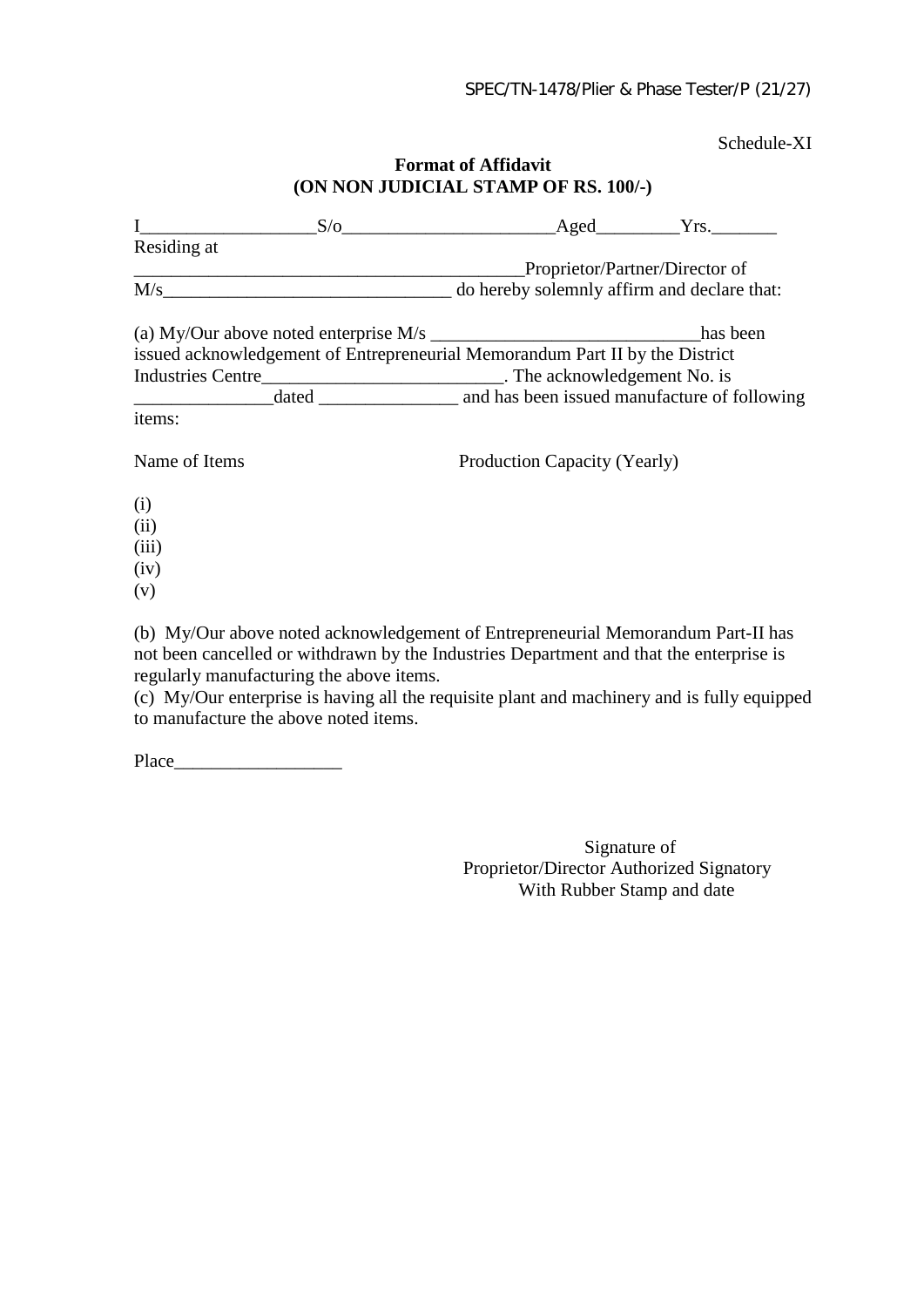Schedule-XI

# **Format of Affidavit (ON NON JUDICIAL STAMP OF RS. 100/-)**

| $\mathbf{I}$                             |                                                                                                                                                                             | $S/O$ Aged $Yrs$ .           |  |  |  |
|------------------------------------------|-----------------------------------------------------------------------------------------------------------------------------------------------------------------------------|------------------------------|--|--|--|
| Residing at                              |                                                                                                                                                                             |                              |  |  |  |
|                                          | Proprietor/Partner/Director of<br><u> San Amerikaanse kommunister op de opgevang in de opgevang van de opgevang van de opgevang van de opgevang va</u>                      |                              |  |  |  |
|                                          |                                                                                                                                                                             |                              |  |  |  |
|                                          |                                                                                                                                                                             |                              |  |  |  |
|                                          | issued acknowledgement of Entrepreneurial Memorandum Part II by the District                                                                                                |                              |  |  |  |
|                                          | Industries Centre_________________________________. The acknowledgement No. is                                                                                              |                              |  |  |  |
|                                          |                                                                                                                                                                             |                              |  |  |  |
| items:                                   |                                                                                                                                                                             |                              |  |  |  |
| Name of Items                            |                                                                                                                                                                             | Production Capacity (Yearly) |  |  |  |
| (i)                                      |                                                                                                                                                                             |                              |  |  |  |
| (ii)                                     |                                                                                                                                                                             |                              |  |  |  |
| (iii)                                    |                                                                                                                                                                             |                              |  |  |  |
| (iv)                                     |                                                                                                                                                                             |                              |  |  |  |
| (v)                                      |                                                                                                                                                                             |                              |  |  |  |
|                                          |                                                                                                                                                                             |                              |  |  |  |
|                                          | (b) My/Our above noted acknowledgement of Entrepreneurial Memorandum Part-II has<br>not been cancelled or withdrawn by the Industries Department and that the enterprise is |                              |  |  |  |
| regularly manufacturing the above items. |                                                                                                                                                                             |                              |  |  |  |

(c) My/Our enterprise is having all the requisite plant and machinery and is fully equipped to manufacture the above noted items.

Place  $\Box$ 

Signature of Proprietor/Director Authorized Signatory With Rubber Stamp and date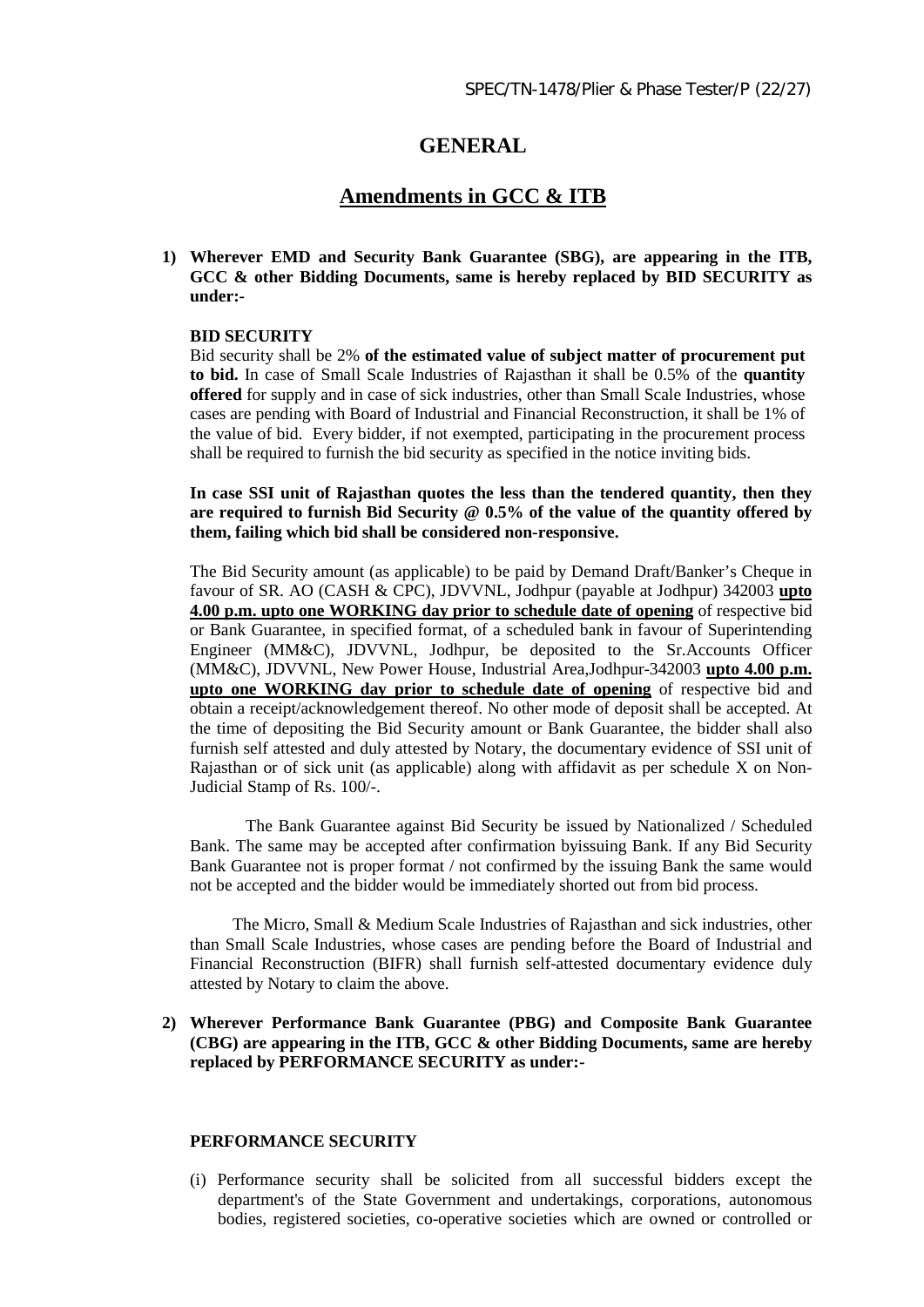# **GENERAL**

# **Amendments in GCC & ITB**

**1) Wherever EMD and Security Bank Guarantee (SBG), are appearing in the ITB, GCC & other Bidding Documents, same is hereby replaced by BID SECURITY as under:-**

#### **BID SECURITY**

Bid security shall be 2% **of the estimated value of subject matter of procurement put to bid.** In case of Small Scale Industries of Rajasthan it shall be 0.5% of the **quantity offered** for supply and in case of sick industries, other than Small Scale Industries, whose cases are pending with Board of Industrial and Financial Reconstruction, it shall be 1% of the value of bid. Every bidder, if not exempted, participating in the procurement process shall be required to furnish the bid security as specified in the notice inviting bids.

**In case SSI unit of Rajasthan quotes the less than the tendered quantity, then they are required to furnish Bid Security @ 0.5% of the value of the quantity offered by them, failing which bid shall be considered non-responsive.** 

The Bid Security amount (as applicable) to be paid by Demand Draft/Banker's Cheque in favour of SR. AO (CASH & CPC), JDVVNL, Jodhpur (payable at Jodhpur) 342003 **upto 4.00 p.m. upto one WORKING day prior to schedule date of opening** of respective bid or Bank Guarantee, in specified format, of a scheduled bank in favour of Superintending Engineer (MM&C), JDVVNL, Jodhpur, be deposited to the Sr.Accounts Officer (MM&C), JDVVNL, New Power House, Industrial Area,Jodhpur-342003 **upto 4.00 p.m. upto one WORKING day prior to schedule date of opening** of respective bid and obtain a receipt/acknowledgement thereof. No other mode of deposit shall be accepted. At the time of depositing the Bid Security amount or Bank Guarantee, the bidder shall also furnish self attested and duly attested by Notary, the documentary evidence of SSI unit of Rajasthan or of sick unit (as applicable) along with affidavit as per schedule X on Non-Judicial Stamp of Rs. 100/-.

The Bank Guarantee against Bid Security be issued by Nationalized / Scheduled Bank. The same may be accepted after confirmation byissuing Bank. If any Bid Security Bank Guarantee not is proper format / not confirmed by the issuing Bank the same would not be accepted and the bidder would be immediately shorted out from bid process.

 The Micro, Small & Medium Scale Industries of Rajasthan and sick industries, other than Small Scale Industries, whose cases are pending before the Board of Industrial and Financial Reconstruction (BIFR) shall furnish self-attested documentary evidence duly attested by Notary to claim the above.

#### **2) Wherever Performance Bank Guarantee (PBG) and Composite Bank Guarantee (CBG) are appearing in the ITB, GCC & other Bidding Documents, same are hereby replaced by PERFORMANCE SECURITY as under:-**

#### **PERFORMANCE SECURITY**

(i) Performance security shall be solicited from all successful bidders except the department's of the State Government and undertakings, corporations, autonomous bodies, registered societies, co-operative societies which are owned or controlled or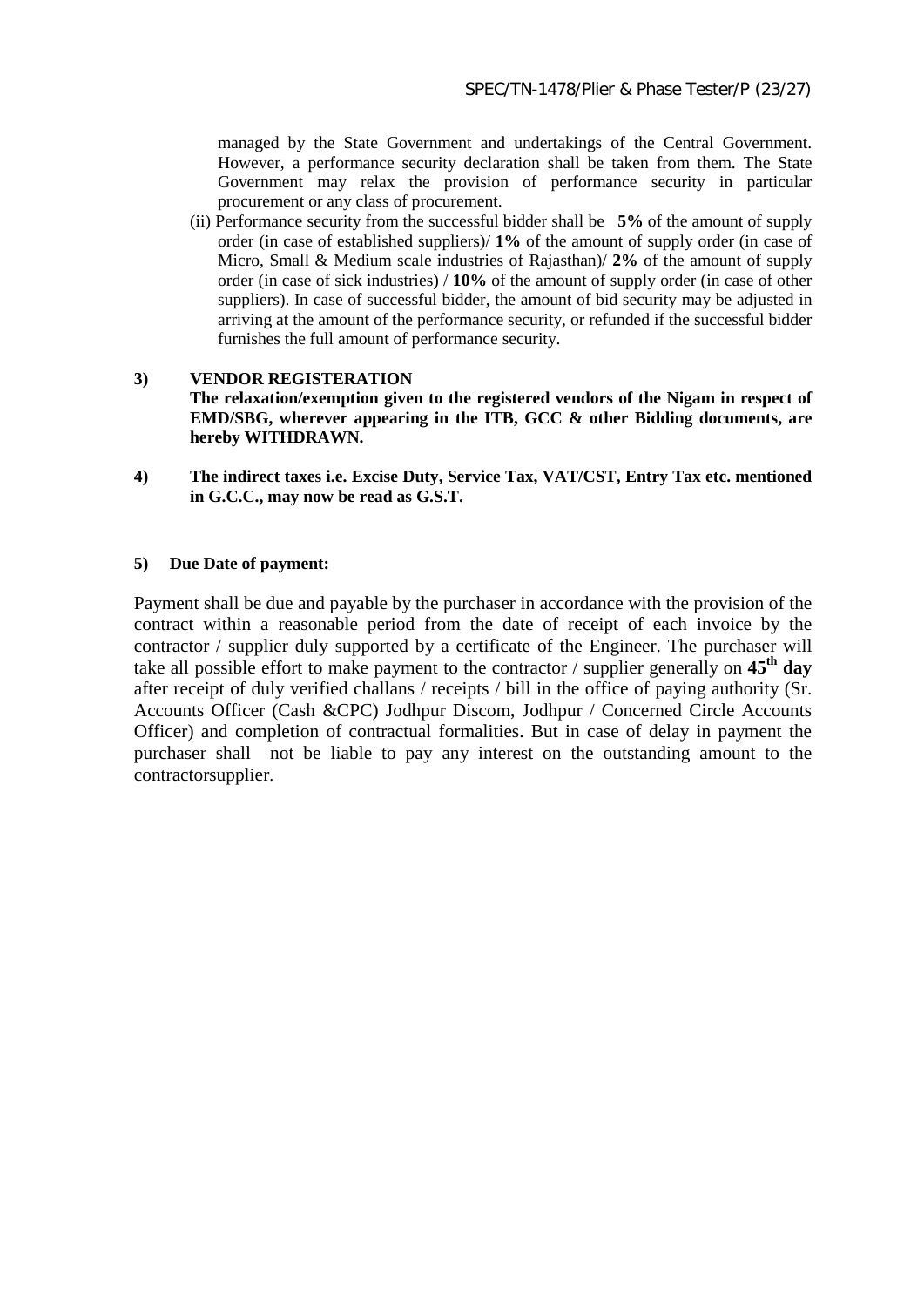managed by the State Government and undertakings of the Central Government. However, a performance security declaration shall be taken from them. The State Government may relax the provision of performance security in particular procurement or any class of procurement.

(ii) Performance security from the successful bidder shall be **5%** of the amount of supply order (in case of established suppliers)/ **1%** of the amount of supply order (in case of Micro, Small & Medium scale industries of Rajasthan)/ **2%** of the amount of supply order (in case of sick industries) / **10%** of the amount of supply order (in case of other suppliers). In case of successful bidder, the amount of bid security may be adjusted in arriving at the amount of the performance security, or refunded if the successful bidder furnishes the full amount of performance security.

#### **3) VENDOR REGISTERATION The relaxation/exemption given to the registered vendors of the Nigam in respect of EMD/SBG, wherever appearing in the ITB, GCC & other Bidding documents, are hereby WITHDRAWN.**

**4) The indirect taxes i.e. Excise Duty, Service Tax, VAT/CST, Entry Tax etc. mentioned in G.C.C., may now be read as G.S.T.**

#### **5) Due Date of payment:**

Payment shall be due and payable by the purchaser in accordance with the provision of the contract within a reasonable period from the date of receipt of each invoice by the contractor / supplier duly supported by a certificate of the Engineer. The purchaser will take all possible effort to make payment to the contractor / supplier generally on **45th day** after receipt of duly verified challans / receipts / bill in the office of paying authority (Sr. Accounts Officer (Cash &CPC) Jodhpur Discom, Jodhpur / Concerned Circle Accounts Officer) and completion of contractual formalities. But in case of delay in payment the purchaser shall not be liable to pay any interest on the outstanding amount to the contractorsupplier.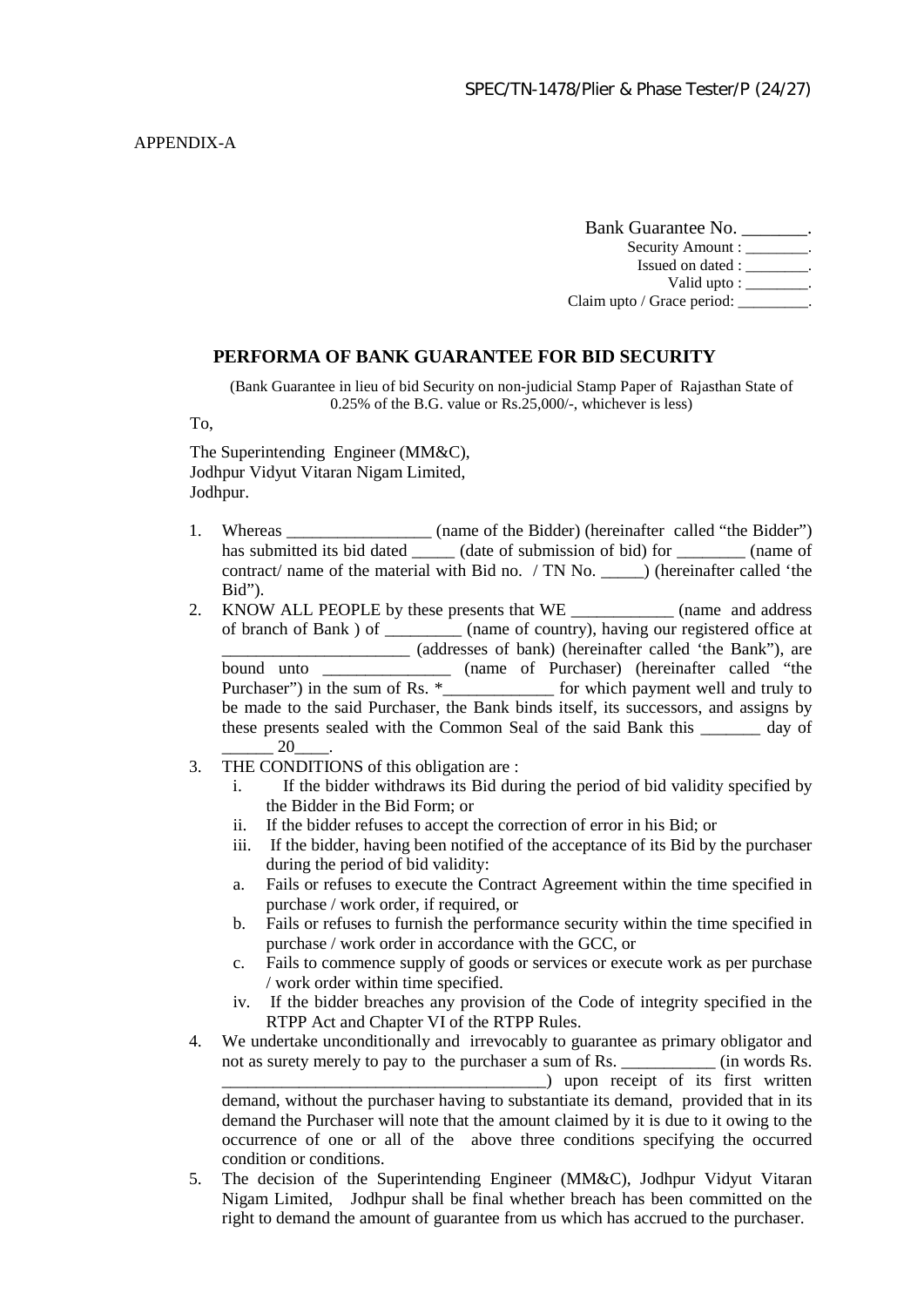Bank Guarantee No. \_\_\_\_\_\_\_. Security Amount : \_\_\_\_\_\_\_\_. Issued on dated : \_\_\_\_\_\_\_\_. Valid upto :  $\frac{1}{\sqrt{1-\frac{1}{\sqrt{1-\frac{1}{\sqrt{1-\frac{1}{\sqrt{1-\frac{1}{\sqrt{1-\frac{1}{\sqrt{1-\frac{1}{\sqrt{1-\frac{1}{\sqrt{1-\frac{1}{\sqrt{1-\frac{1}{\sqrt{1-\frac{1}{\sqrt{1-\frac{1}{\sqrt{1-\frac{1}{\sqrt{1-\frac{1}{\sqrt{1-\frac{1}{\sqrt{1-\frac{1}{\sqrt{1-\frac{1}{\sqrt{1-\frac{1}{\sqrt{1-\frac{1}{\sqrt{1-\frac{1}{\sqrt{1-\frac{1}{\sqrt{1-\frac{1}{\sqrt{1-\frac{1}{\sqrt{1$ Claim upto / Grace period:

#### **PERFORMA OF BANK GUARANTEE FOR BID SECURITY**

(Bank Guarantee in lieu of bid Security on non-judicial Stamp Paper of Rajasthan State of 0.25% of the B.G. value or Rs.25,000/-, whichever is less)

To,

The Superintending Engineer (MM&C), Jodhpur Vidyut Vitaran Nigam Limited, Jodhpur.

- 1. Whereas \_\_\_\_\_\_\_\_\_\_\_\_\_\_\_\_\_\_ (name of the Bidder) (hereinafter called "the Bidder") has submitted its bid dated \_\_\_\_\_\_ (date of submission of bid) for \_\_\_\_\_\_\_\_ (name of contract/ name of the material with Bid no. / TN No.  $\qquad$  (hereinafter called 'the Bid").
- 2. KNOW ALL PEOPLE by these presents that WE \_\_\_\_\_\_\_\_\_\_\_\_\_\_ (name and address of branch of Bank ) of \_\_\_\_\_\_\_\_\_ (name of country), having our registered office at \_\_\_\_\_\_\_\_\_\_\_\_\_\_\_\_\_\_\_\_\_\_ (addresses of bank) (hereinafter called 'the Bank"), are bound unto \_\_\_\_\_\_\_\_\_\_\_\_\_\_\_\_ (name of Purchaser) (hereinafter called "the Purchaser") in the sum of Rs.  $*$ \_\_\_\_\_\_\_\_\_\_\_\_\_\_\_\_\_ for which payment well and truly to be made to the said Purchaser, the Bank binds itself, its successors, and assigns by these presents sealed with the Common Seal of the said Bank this \_\_\_\_\_\_\_ day of  $20$
- 3. THE CONDITIONS of this obligation are :
	- i. If the bidder withdraws its Bid during the period of bid validity specified by the Bidder in the Bid Form; or
	- ii. If the bidder refuses to accept the correction of error in his Bid; or
	- iii. If the bidder, having been notified of the acceptance of its Bid by the purchaser during the period of bid validity:
	- a. Fails or refuses to execute the Contract Agreement within the time specified in purchase / work order, if required, or
	- b. Fails or refuses to furnish the performance security within the time specified in purchase / work order in accordance with the GCC, or
	- c. Fails to commence supply of goods or services or execute work as per purchase / work order within time specified.
	- iv. If the bidder breaches any provision of the Code of integrity specified in the RTPP Act and Chapter VI of the RTPP Rules.
- 4. We undertake unconditionally and irrevocably to guarantee as primary obligator and not as surety merely to pay to the purchaser a sum of Rs.  $\qquad \qquad$  (in words Rs. \_\_\_\_\_\_\_\_\_\_\_\_\_\_\_\_\_\_\_\_\_\_\_\_\_\_\_\_\_\_\_\_\_\_\_\_\_\_) upon receipt of its first written demand, without the purchaser having to substantiate its demand, provided that in its demand the Purchaser will note that the amount claimed by it is due to it owing to the

occurrence of one or all of the above three conditions specifying the occurred condition or conditions.

5. The decision of the Superintending Engineer (MM&C), Jodhpur Vidyut Vitaran Nigam Limited, Jodhpur shall be final whether breach has been committed on the right to demand the amount of guarantee from us which has accrued to the purchaser.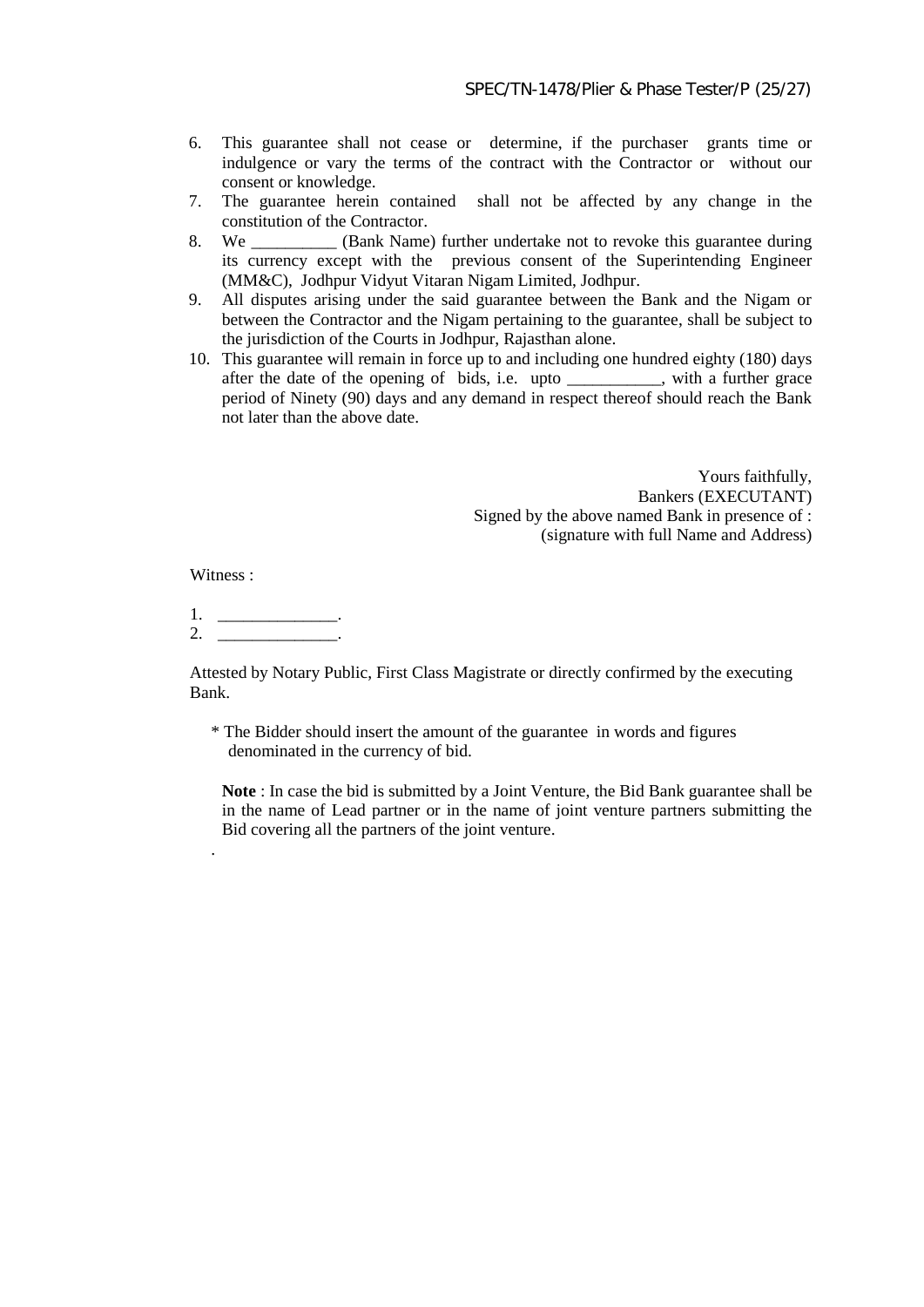- 6. This guarantee shall not cease or determine, if the purchaser grants time or indulgence or vary the terms of the contract with the Contractor or without our consent or knowledge.
- 7. The guarantee herein contained shall not be affected by any change in the constitution of the Contractor.
- 8. We \_\_\_\_\_\_\_\_\_\_ (Bank Name) further undertake not to revoke this guarantee during its currency except with the previous consent of the Superintending Engineer (MM&C), Jodhpur Vidyut Vitaran Nigam Limited, Jodhpur.
- 9. All disputes arising under the said guarantee between the Bank and the Nigam or between the Contractor and the Nigam pertaining to the guarantee, shall be subject to the jurisdiction of the Courts in Jodhpur, Rajasthan alone.
- 10. This guarantee will remain in force up to and including one hundred eighty (180) days after the date of the opening of bids, i.e. upto \_\_\_\_\_\_\_\_\_\_\_, with a further grace period of Ninety (90) days and any demand in respect thereof should reach the Bank not later than the above date.

Yours faithfully, Bankers (EXECUTANT) Signed by the above named Bank in presence of : (signature with full Name and Address)

Witness :

.

1. 2.  $\qquad \qquad$ 

Attested by Notary Public, First Class Magistrate or directly confirmed by the executing Bank.

\* The Bidder should insert the amount of the guarantee in words and figures denominated in the currency of bid.

**Note** : In case the bid is submitted by a Joint Venture, the Bid Bank guarantee shall be in the name of Lead partner or in the name of joint venture partners submitting the Bid covering all the partners of the joint venture.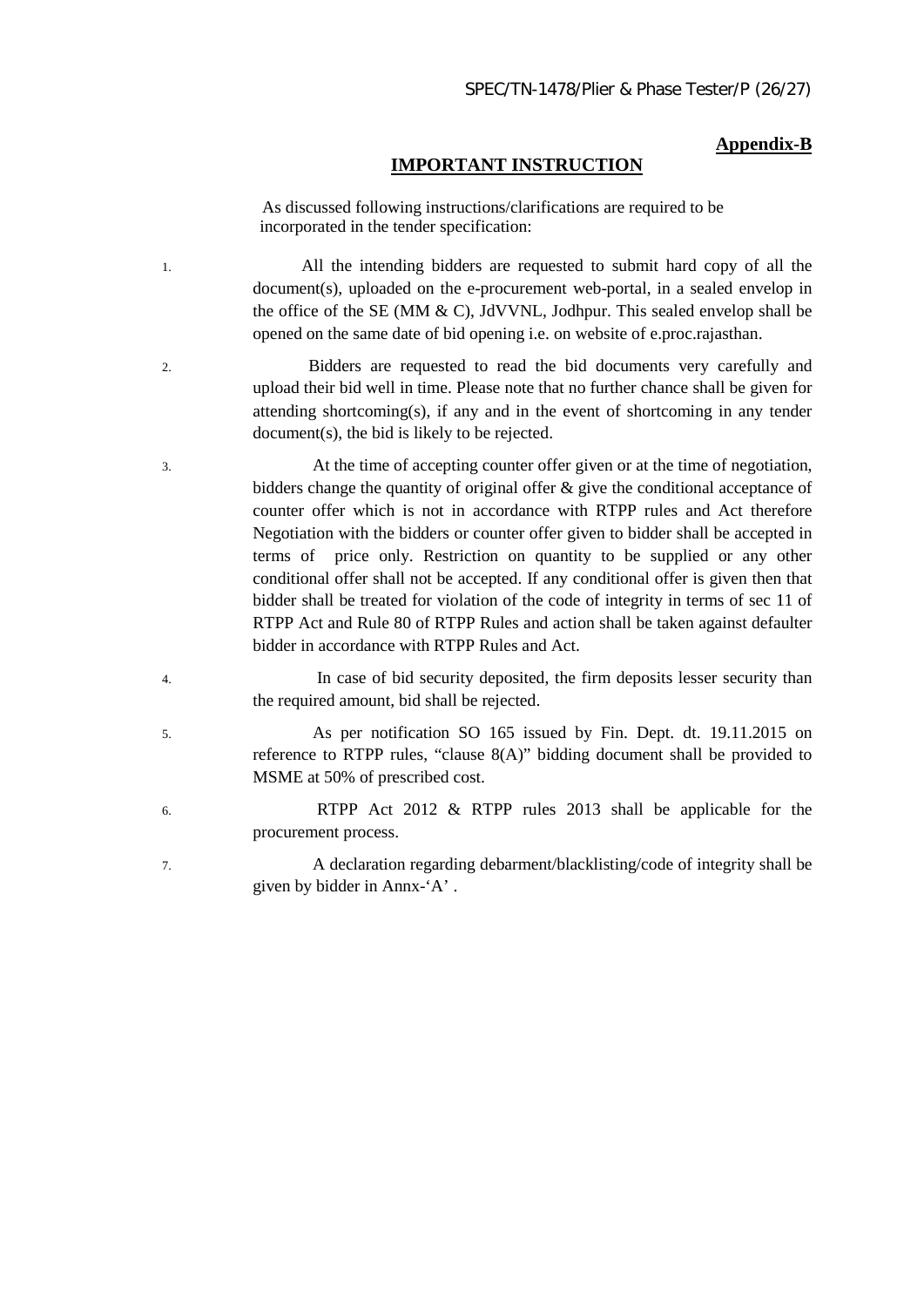#### **Appendix-B**

#### **IMPORTANT INSTRUCTION**

 As discussed following instructions/clarifications are required to be incorporated in the tender specification:

1. All the intending bidders are requested to submit hard copy of all the document(s), uploaded on the e-procurement web-portal, in a sealed envelop in the office of the SE (MM  $\&$  C), JdVVNL, Jodhpur. This sealed envelop shall be opened on the same date of bid opening i.e. on website of e.proc.rajasthan.

- 2. Bidders are requested to read the bid documents very carefully and upload their bid well in time. Please note that no further chance shall be given for attending shortcoming(s), if any and in the event of shortcoming in any tender document(s), the bid is likely to be rejected.
- 3. At the time of accepting counter offer given or at the time of negotiation, bidders change the quantity of original offer  $\&$  give the conditional acceptance of counter offer which is not in accordance with RTPP rules and Act therefore Negotiation with the bidders or counter offer given to bidder shall be accepted in terms of price only. Restriction on quantity to be supplied or any other conditional offer shall not be accepted. If any conditional offer is given then that bidder shall be treated for violation of the code of integrity in terms of sec 11 of RTPP Act and Rule 80 of RTPP Rules and action shall be taken against defaulter bidder in accordance with RTPP Rules and Act.
- 4. In case of bid security deposited, the firm deposits lesser security than the required amount, bid shall be rejected.
- 5. As per notification SO 165 issued by Fin. Dept. dt. 19.11.2015 on reference to RTPP rules, "clause 8(A)" bidding document shall be provided to MSME at 50% of prescribed cost.
- 6. RTPP Act 2012 & RTPP rules 2013 shall be applicable for the procurement process.
- 7. A declaration regarding debarment/blacklisting/code of integrity shall be given by bidder in Annx-'A' .